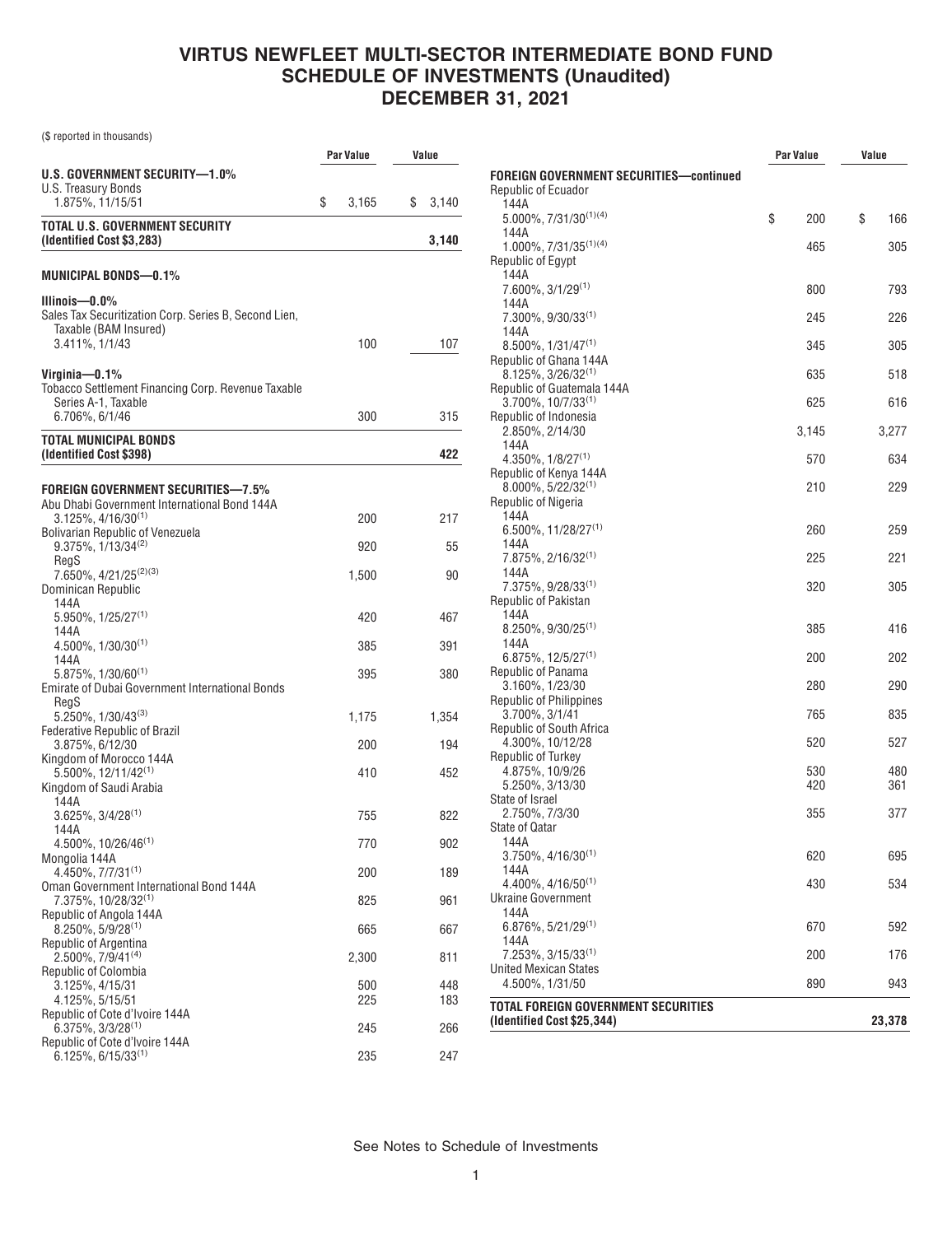(\$ reported in thousands)

|                                                                                           |             | Value       |
|-------------------------------------------------------------------------------------------|-------------|-------------|
| U.S. GOVERNMENT SECURITY-1.0%                                                             |             |             |
| U.S. Treasury Bonds<br>1.875%, 11/15/51                                                   | \$<br>3,165 | \$<br>3,140 |
| TOTAL U.S. GOVERNMENT SECURITY<br>(Identified Cost \$3,283)                               |             | 3,140       |
| MUNICIPAL BONDS—0.1%                                                                      |             |             |
| Illinois—0.0%<br>Sales Tax Securitization Corp. Series B, Second Lien,                    |             |             |
| Taxable (BAM Insured)                                                                     |             |             |
| 3.411%, 1/1/43                                                                            | 100         | 107         |
| Virginia—0.1%<br><b>Tobacco Settlement Financing Corp. Revenue Taxable</b>                |             |             |
| Series A-1, Taxable                                                                       |             |             |
| 6.706%, 6/1/46                                                                            | 300         | 315         |
| <b>TOTAL MUNICIPAL BONDS</b><br>(Identified Cost \$398)                                   |             | 422         |
|                                                                                           |             |             |
| <b>FOREIGN GOVERNMENT SECURITIES-7.5%</b><br>Abu Dhabi Government International Bond 144A |             |             |
| $3.125\%$ , $4/16/30^{(1)}$                                                               | 200         | 217         |
| <b>Bolivarian Republic of Venezuela</b><br>$9.375\%, 1/13/34^{(2)}$                       | 920         | 55          |
| RegS                                                                                      |             |             |
| 7.650%, 4/21/25 <sup>(2)(3)</sup><br>Dominican Republic                                   | 1,500       | 90          |
| 144A<br>$5.950\%$ , $1/25/27^{(1)}$                                                       | 420         | 467         |
| 144A                                                                                      |             |             |
| $4.500\%$ , $1/30/30^{(1)}$<br>144A                                                       | 385         | 391         |
| $5.875\%$ , $1/30/60^{(1)}$<br><b>Emirate of Dubai Government International Bonds</b>     | 395         | 380         |
| RegS                                                                                      |             |             |
| $5.250\%$ , $1/30/43^{(3)}$<br><b>Federative Republic of Brazil</b>                       | 1,175       | 1,354       |
| 3.875%, 6/12/30<br>Kingdom of Morocco 144A                                                | 200         | 194         |
| $5.500\%$ , 12/11/42 <sup>(1)</sup>                                                       | 410         | 452         |
| Kingdom of Saudi Arabia<br>144A                                                           |             |             |
| $3.625\%$ , $3/4/28^{(1)}$                                                                | 755         | 822         |
| 144A<br>4.500%, 10/26/46 <sup>(1)</sup>                                                   | 770         | 902         |
| Mongolia 144A<br>4.450%, 7/7/31(1)                                                        | 200         | 189         |
| Oman Government International Bond 144A                                                   |             |             |
| 7.375%, 10/28/32(1)<br>Republic of Angola 144A                                            | 825         | 961         |
| $8.250\%$ , 5/9/28 <sup>(1)</sup><br>Republic of Argentina                                | 665         | 667         |
| 2.500%, 7/9/41(4)                                                                         | 2,300       | 811         |
| Republic of Colombia<br>3.125%, 4/15/31                                                   | 500         | 448         |
| 4.125%, 5/15/51<br>Republic of Cote d'Ivoire 144A                                         | 225         | 183         |
| $6.375\%, 3/3/28^{(1)}$                                                                   | 245         | 266         |
| Republic of Cote d'Ivoire 144A<br>$6.125\%, 6/15/33^{(1)}$                                | 235         | 247         |

|                                                                               | <b>Par Value</b> | Value     |
|-------------------------------------------------------------------------------|------------------|-----------|
| <b>FOREIGN GOVERNMENT SECURITIES-continued</b><br>Republic of Ecuador<br>144A |                  |           |
| $5.000\%$ , $7/31/30^{(1)(4)}$<br>144A                                        | \$<br>200        | \$<br>166 |
| $1.000\%$ , $7/31/35^{(1)(4)}$                                                | 465              | 305       |
| Republic of Egypt                                                             |                  |           |
| 144A                                                                          |                  |           |
| 7.600%, 3/1/29 <sup>(1)</sup>                                                 | 800              | 793       |
| 144A<br>$7.300\%$ , $9/30/33^{(1)}$                                           | 245              | 226       |
| 144A                                                                          |                  |           |
| $8.500\%$ , $1/31/47^{(1)}$                                                   | 345              | 305       |
| Republic of Ghana 144A                                                        |                  |           |
| $8.125\%, 3/26/32^{(1)}$                                                      | 635              | 518       |
| Republic of Guatemala 144A<br>$3.700\%$ , $10/7/33^{(1)}$                     | 625              | 616       |
| Republic of Indonesia                                                         |                  |           |
| 2.850%, 2/14/30                                                               | 3,145            | 3,277     |
| 144A                                                                          |                  |           |
| $4.350\%$ , $1/8/27^{(1)}$                                                    | 570              | 634       |
| Republic of Kenya 144A<br>$8.000\%$ , 5/22/32 <sup>(1)</sup>                  | 210              | 229       |
| Republic of Nigeria                                                           |                  |           |
| 144A                                                                          |                  |           |
| 6.500%, 11/28/27 <sup>(1)</sup>                                               | 260              | 259       |
| 144A                                                                          |                  | 221       |
| $7.875\%, 2/16/32^{(1)}$<br>144A                                              | 225              |           |
| $7.375\%$ , 9/28/33 <sup>(1)</sup>                                            | 320              | 305       |
| Republic of Pakistan                                                          |                  |           |
| 144A                                                                          |                  |           |
| $8.250\%$ , $9/30/25^{(1)}$<br>144A                                           | 385              | 416       |
| $6.875\%, 12/5/27^{(1)}$                                                      | 200              | 202       |
| Republic of Panama                                                            |                  |           |
| 3.160%, 1/23/30                                                               | 280              | 290       |
| <b>Republic of Philippines</b>                                                |                  |           |
| 3.700%, 3/1/41<br>Republic of South Africa                                    | 765              | 835       |
| 4.300%, 10/12/28                                                              | 520              | 527       |
| Republic of Turkey                                                            |                  |           |
| 4.875%, 10/9/26                                                               | 530              | 480       |
| 5.250%, 3/13/30                                                               | 420              | 361       |
| State of Israel<br>2.750%, 7/3/30                                             | 355              | 377       |
| <b>State of Qatar</b>                                                         |                  |           |
| 144A                                                                          |                  |           |
| $3.750\%$ , 4/16/30 <sup>(1)</sup>                                            | 620              | 695       |
| 144A                                                                          |                  |           |
| $4.400\%$ , $4/16/50^{(1)}$<br><b>Ukraine Government</b>                      | 430              | 534       |
| 144A                                                                          |                  |           |
| $6.876\%, 5/21/29^{(1)}$                                                      | 670              | 592       |
| 144A                                                                          |                  |           |
| 7.253%, 3/15/33 <sup>(1)</sup>                                                | 200              | 176       |
| <b>United Mexican States</b><br>4.500%, 1/31/50                               | 890              | 943       |
|                                                                               |                  |           |
| <b>TOTAL FOREIGN GOVERNMENT SECURITIES</b><br>(Identified Cost \$25,344)      |                  | 23,378    |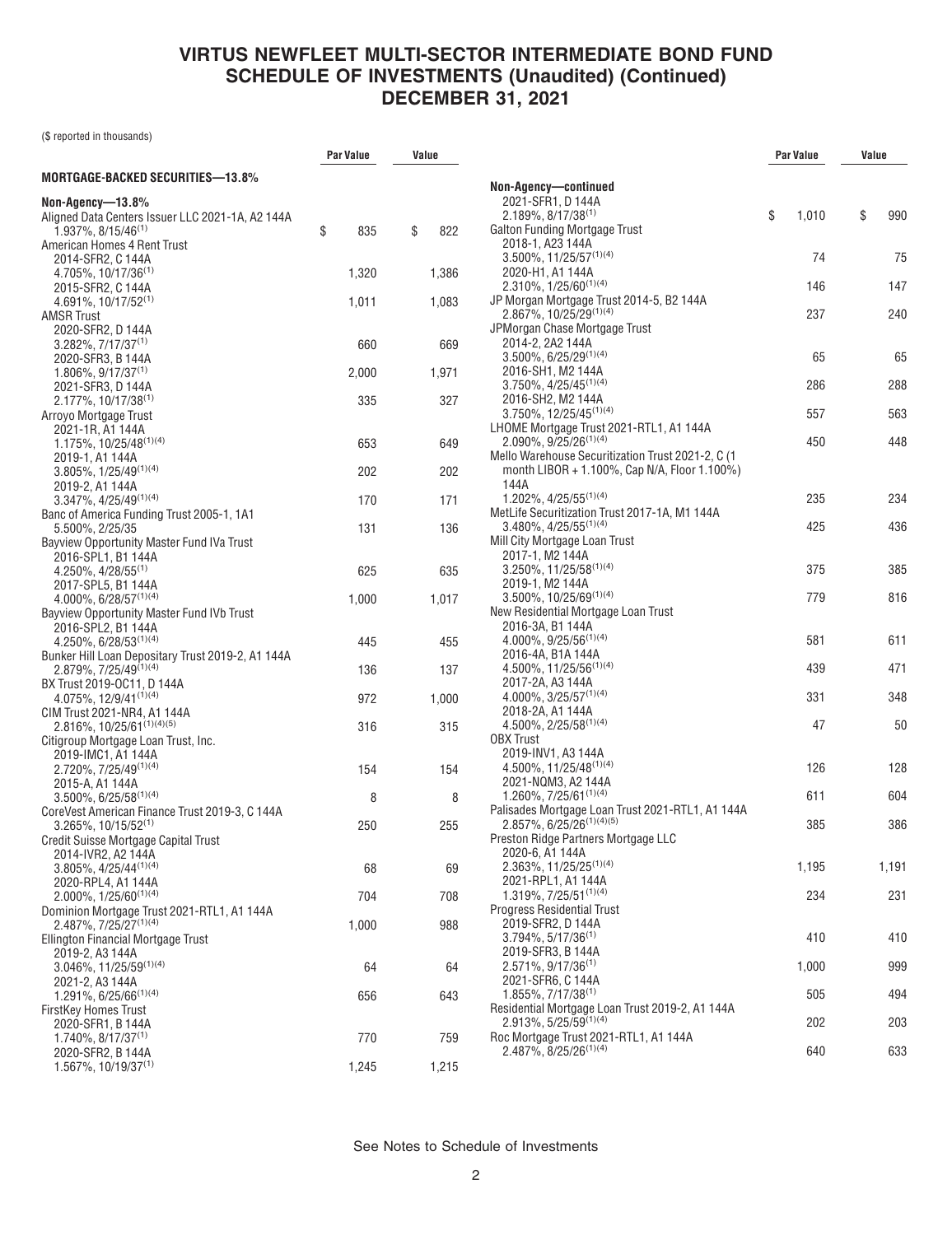(\$ reported in thousands)

|                                                                            | Par Value | Value     |                                                                                 | Par Value   | Value |       |
|----------------------------------------------------------------------------|-----------|-----------|---------------------------------------------------------------------------------|-------------|-------|-------|
| <b>MORTGAGE-BACKED SECURITIES-13.8%</b>                                    |           |           | Non-Agency-continued                                                            |             |       |       |
| Non-Agency-13.8%                                                           |           |           | 2021-SFR1. D 144A                                                               |             |       |       |
| Aligned Data Centers Issuer LLC 2021-1A, A2 144A                           |           |           | $2.189\%$ , 8/17/38 <sup>(1)</sup>                                              | \$<br>1,010 | \$    | 990   |
| $1.937\%$ , 8/15/46 <sup>(1)</sup>                                         | \$<br>835 | \$<br>822 | Galton Funding Mortgage Trust                                                   |             |       |       |
| American Homes 4 Rent Trust                                                |           |           | 2018-1. A23 144A                                                                |             |       |       |
| 2014-SFR2, C 144A                                                          |           |           | $3.500\%$ , 11/25/57 <sup>(1)(4)</sup>                                          | 74          |       | 75    |
| 4.705%, 10/17/36 <sup>(1)</sup>                                            | 1,320     | 1,386     | 2020-H1, A1 144A                                                                |             |       |       |
| 2015-SFR2, C 144A<br>$4.691\%$ , 10/17/52 <sup>(1)</sup>                   | 1,011     | 1,083     | $2.310\%, 1/25/60^{(1)(4)}$<br>JP Morgan Mortgage Trust 2014-5, B2 144A         | 146         |       | 147   |
| <b>AMSR Trust</b>                                                          |           |           | $2.867\%$ , 10/25/29 <sup>(1)(4)</sup>                                          | 237         |       | 240   |
| 2020-SFR2, D 144A                                                          |           |           | JPMorgan Chase Mortgage Trust                                                   |             |       |       |
| $3.282\%, 7/17/37^{(1)}$                                                   | 660       | 669       | 2014-2. 2A2 144A                                                                |             |       |       |
| 2020-SFR3, B 144A                                                          |           |           | $3.500\%$ , 6/25/29 <sup>(1)(4)</sup>                                           | 65          |       | 65    |
| $1.806\%$ , 9/17/37 <sup>(1)</sup>                                         | 2,000     | 1,971     | 2016-SH1, M2 144A                                                               |             |       |       |
| 2021-SFR3, D 144A                                                          |           |           | $3.750\%$ , $4/25/45^{(1)(4)}$<br>2016-SH2, M2 144A                             | 286         |       | 288   |
| $2.177\%$ , 10/17/38 <sup>(1)</sup><br>Arroyo Mortgage Trust               | 335       | 327       | $3.750\%$ , 12/25/45 <sup>(1)(4)</sup>                                          | 557         |       | 563   |
| 2021-1R, A1 144A                                                           |           |           | LHOME Mortgage Trust 2021-RTL1, A1 144A                                         |             |       |       |
| 1.175%, 10/25/48 <sup>(1)(4)</sup>                                         | 653       | 649       | $2.090\%$ , $9/25/26^{(1)(4)}$                                                  | 450         |       | 448   |
| 2019-1, A1 144A                                                            |           |           | Mello Warehouse Securitization Trust 2021-2, C (1                               |             |       |       |
| $3.805\%, 1/25/49^{(1)(4)}$                                                | 202       | 202       | month LIBOR + 1.100%, Cap N/A, Floor 1.100%)                                    |             |       |       |
| 2019-2, A1 144A                                                            |           |           | 144A                                                                            |             |       |       |
| $3.347\%$ , $4/25/49^{(1)(4)}$                                             | 170       | 171       | $1.202\%$ , 4/25/55 <sup>(1)(4)</sup>                                           | 235         |       | 234   |
| Banc of America Funding Trust 2005-1, 1A1                                  | 131       | 136       | MetLife Securitization Trust 2017-1A, M1 144A<br>$3.480\%$ , $4/25/55^{(1)(4)}$ | 425         |       | 436   |
| 5.500%, 2/25/35<br>Bayview Opportunity Master Fund IVa Trust               |           |           | Mill City Mortgage Loan Trust                                                   |             |       |       |
| 2016-SPL1, B1 144A                                                         |           |           | 2017-1, M2 144A                                                                 |             |       |       |
| $4.250\%$ , $4/28/55^{(1)}$                                                | 625       | 635       | $3.250\%$ , 11/25/58 <sup>(1)(4)</sup>                                          | 375         |       | 385   |
| 2017-SPL5, B1 144A                                                         |           |           | 2019-1, M2 144A                                                                 |             |       |       |
| $4.000\%$ , 6/28/57 <sup>(1)(4)</sup>                                      | 1,000     | 1,017     | 3.500%, 10/25/69(1)(4)                                                          | 779         |       | 816   |
| Bayview Opportunity Master Fund IVb Trust                                  |           |           | New Residential Mortgage Loan Trust                                             |             |       |       |
| 2016-SPL2, B1 144A                                                         |           |           | 2016-3A, B1 144A<br>$4.000\%$ , 9/25/56 <sup>(1)(4)</sup>                       | 581         |       | 611   |
| 4.250%, 6/28/53(1)(4)<br>Bunker Hill Loan Depositary Trust 2019-2, A1 144A | 445       | 455       | 2016-4A, B1A 144A                                                               |             |       |       |
| $2.879\%$ , $7/25/49^{(1)(4)}$                                             | 136       | 137       | 4.500%, 11/25/56(1)(4)                                                          | 439         |       | 471   |
| BX Trust 2019-OC11, D 144A                                                 |           |           | 2017-2A, A3 144A                                                                |             |       |       |
| $4.075\%$ , 12/9/41 <sup>(1)(4)</sup>                                      | 972       | 1,000     | $4.000\%$ , 3/25/57 <sup>(1)(4)</sup>                                           | 331         |       | 348   |
| CIM Trust 2021-NR4, A1 144A                                                |           |           | 2018-2A, A1 144A                                                                |             |       |       |
| $2.816\%$ , 10/25/61 <sup>(1)(4)(5)</sup>                                  | 316       | 315       | $4.500\%$ , 2/25/58 <sup>(1)(4)</sup>                                           | 47          |       | 50    |
| Citigroup Mortgage Loan Trust, Inc.                                        |           |           | <b>OBX Trust</b><br>2019-INV1, A3 144A                                          |             |       |       |
| 2019-IMC1, A1 144A<br>$2.720\%$ , $7/25/49^{(1)(4)}$                       | 154       | 154       | 4.500%, 11/25/48 <sup>(1)(4)</sup>                                              | 126         |       | 128   |
| 2015-A. A1 144A                                                            |           |           | 2021-NQM3, A2 144A                                                              |             |       |       |
| $3.500\%$ , 6/25/58 <sup>(1)(4)</sup>                                      | 8         | 8         | 1.260%, 7/25/61 $(1)(4)$                                                        | 611         |       | 604   |
| CoreVest American Finance Trust 2019-3, C 144A                             |           |           | Palisades Mortgage Loan Trust 2021-RTL1, A1 144A                                |             |       |       |
| $3.265\%$ , 10/15/52 <sup>(1)</sup>                                        | 250       | 255       | $2.857\%$ , $6/25/26^{(1)(4)(5)}$                                               | 385         |       | 386   |
| Credit Suisse Mortgage Capital Trust                                       |           |           | Preston Ridge Partners Mortgage LLC                                             |             |       |       |
| 2014-IVR2, A2 144A                                                         |           |           | 2020-6, A1 144A<br>$2.363\%, 11/25/25^{(1)(4)}$                                 | 1,195       |       | 1,191 |
| $3.805\%$ , $4/25/44^{(1)(4)}$<br>2020-RPL4, A1 144A                       | 68        | 69        | 2021-RPL1, A1 144A                                                              |             |       |       |
| $2.000\%$ . 1/25/60 <sup>(1)(4)</sup>                                      | 704       | 708       | 1.319%, 7/25/51(1)(4)                                                           | 234         |       | 231   |
| Dominion Mortgage Trust 2021-RTL1, A1 144A                                 |           |           | <b>Progress Residential Trust</b>                                               |             |       |       |
| $2.487\%$ , 7/25/27 <sup>(1)(4)</sup>                                      | 1,000     | 988       | 2019-SFR2, D 144A                                                               |             |       |       |
| Ellington Financial Mortgage Trust                                         |           |           | $3.794\%$ , 5/17/36 <sup>(1)</sup>                                              | 410         |       | 410   |
| 2019-2, A3 144A                                                            |           |           | 2019-SFR3, B 144A                                                               |             |       |       |
| $3.046\%$ , 11/25/59 <sup>(1)(4)</sup>                                     | 64        | 64        | $2.571\%, 9/17/36^{(1)}$<br>2021-SFR6, C 144A                                   | 1,000       |       | 999   |
| 2021-2, A3 144A<br>$1.291\%$ , 6/25/66 <sup>(1)(4)</sup>                   | 656       | 643       | $1.855\%, 7/17/38^{(1)}$                                                        | 505         |       | 494   |
| FirstKey Homes Trust                                                       |           |           | Residential Mortgage Loan Trust 2019-2, A1 144A                                 |             |       |       |
| 2020-SFR1, B 144A                                                          |           |           | $2.913\%, 5/25/59^{(1)(4)}$                                                     | 202         |       | 203   |
| $1.740\%$ , 8/17/37 <sup>(1)</sup>                                         | 770       | 759       | Roc Mortgage Trust 2021-RTL1, A1 144A                                           |             |       |       |
| 2020-SFR2, B 144A                                                          |           |           | 2.487%, 8/25/26 <sup>(1)(4)</sup>                                               | 640         |       | 633   |
| $1.567\%$ , 10/19/37 <sup>(1)</sup>                                        | 1,245     | 1,215     |                                                                                 |             |       |       |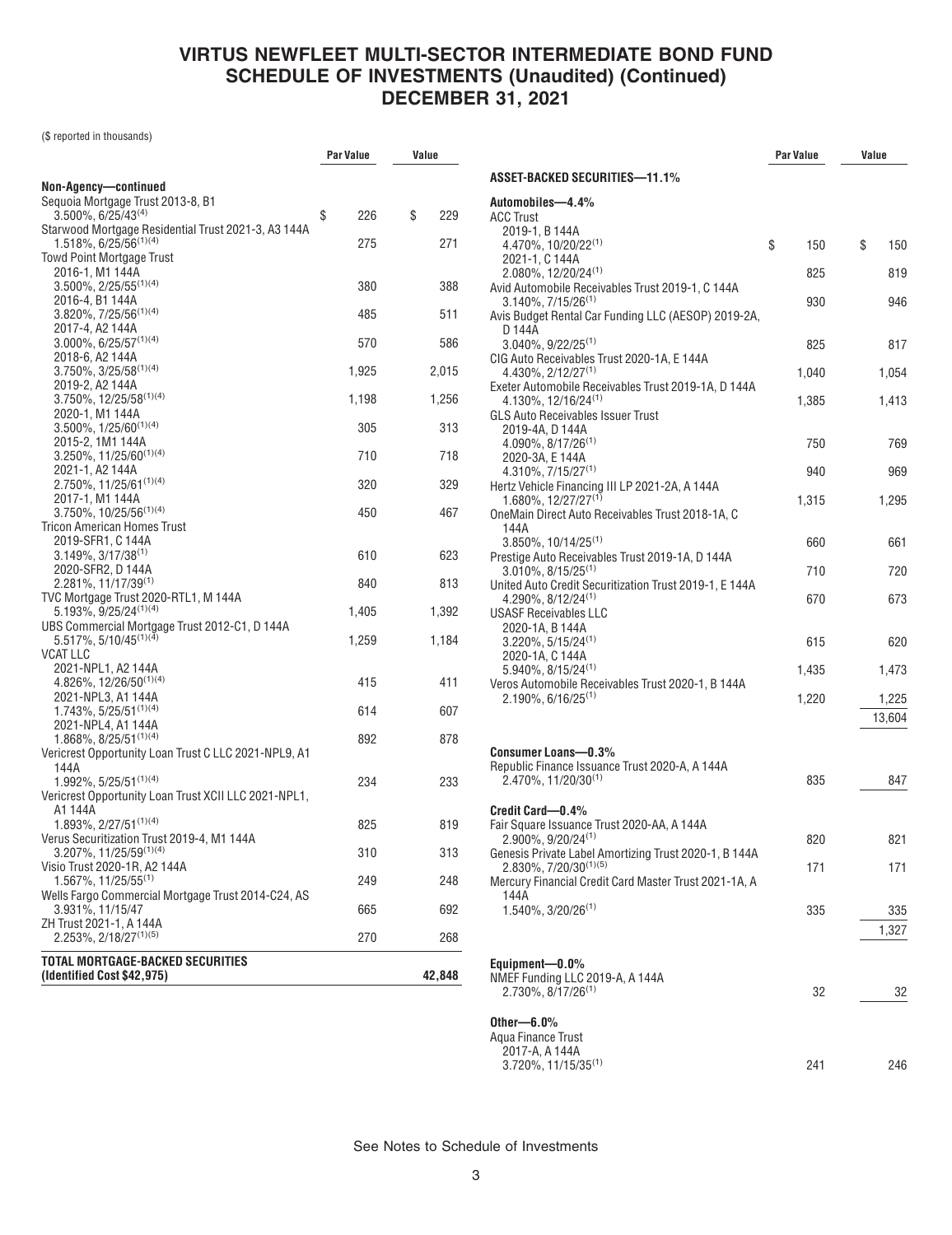(\$ reported in thousands)

|                                                                                    | Par Value | Value     |
|------------------------------------------------------------------------------------|-----------|-----------|
|                                                                                    |           |           |
| Non-Agency-continued<br>Sequoia Mortgage Trust 2013-8, B1                          |           |           |
| $3.500\%$ , 6/25/43 <sup>(4)</sup>                                                 | \$<br>226 | \$<br>229 |
| Starwood Mortgage Residential Trust 2021-3, A3 144A<br>$1.518\%, 6/25/56^{(1)(4)}$ | 275       | 271       |
| <b>Towd Point Mortgage Trust</b>                                                   |           |           |
| 2016-1, M1 144A<br>$3.500\%$ , 2/25/55 <sup>(1)(4)</sup>                           | 380       | 388       |
| 2016-4, B1 144A                                                                    |           |           |
| $3.820\%$ , $7/25/56^{(1)(4)}$                                                     | 485       | 511       |
| 2017-4, A2 144A<br>$3.000\%$ , 6/25/57 <sup>(1)(4)</sup>                           | 570       | 586       |
| 2018-6, A2 144A                                                                    |           |           |
| $3.750\%, 3/25/58^{(1)(4)}$                                                        | 1,925     | 2,015     |
| 2019-2, A2 144A                                                                    |           |           |
| 3.750%, 12/25/58(1)(4)                                                             | 1,198     | 1,256     |
| 2020-1, M1 144A                                                                    |           |           |
| $3.500\%$ , $1/25/60^{(1)(4)}$                                                     | 305       | 313       |
| 2015-2, 1M1 144A                                                                   |           |           |
| $3.250\%$ , 11/25/60 <sup>(1)(4)</sup>                                             | 710       | 718       |
| 2021-1, A2 144A                                                                    |           |           |
| 2.750%, 11/25/61(1)(4)                                                             | 320       | 329       |
| 2017-1, M1 144A                                                                    |           |           |
| $3.750\%$ , 10/25/56 <sup>(1)(4)</sup>                                             | 450       | 467       |
| Tricon American Homes Trust                                                        |           |           |
| 2019-SFR1, C 144A                                                                  |           |           |
| $3.149\%, 3/17/38^{(1)}$                                                           | 610       | 623       |
| 2020-SFR2, D 144A<br>$2.281\%, 11/17/39^{(1)}$                                     | 840       | 813       |
| TVC Mortgage Trust 2020-RTL1, M 144A                                               |           |           |
| 5.193%, 9/25/24(1)(4)                                                              | 1,405     | 1,392     |
| UBS Commercial Mortgage Trust 2012-C1, D 144A                                      |           |           |
| $5.517\%$ , 5/10/45 <sup>(1)(4)</sup>                                              | 1,259     | 1,184     |
| <b>VCAT LLC</b>                                                                    |           |           |
| 2021-NPL1, A2 144A                                                                 |           |           |
| 4.826%, 12/26/50 <sup>(1)(4)</sup>                                                 | 415       | 411       |
| 2021-NPL3, A1 144A                                                                 |           |           |
| $1.743\%, 5/25/51^{(1)(4)}$                                                        | 614       | 607       |
| 2021-NPL4, A1 144A                                                                 |           |           |
| $1.868\%, 8/25/51^{(1)(4)}$                                                        | 892       | 878       |
| Vericrest Opportunity Loan Trust C LLC 2021-NPL9, A1                               |           |           |
| 144A                                                                               |           |           |
| $1.992\%$ , 5/25/51 <sup>(1)(4)</sup>                                              | 234       | 233       |
| Vericrest Opportunity Loan Trust XCII LLC 2021-NPL1,                               |           |           |
| A1 144A                                                                            |           |           |
| 1.893%, 2/27/51(1)(4)                                                              | 825       | 819       |
| Verus Securitization Trust 2019-4, M1 144A                                         |           |           |
| $3.207\%$ , 11/25/59 <sup>(1)(4)</sup>                                             | 310       | 313       |
| Visio Trust 2020-1R, A2 144A                                                       |           |           |
| $1.567\%$ , 11/25/55 <sup>(1)</sup>                                                | 249       | 248       |
| Wells Fargo Commercial Mortgage Trust 2014-C24, AS                                 |           |           |
| 3.931%, 11/15/47                                                                   | 665       | 692       |
| ZH Trust 2021-1, A 144A<br>$2.253\%, 2/18/27^{(1)(5)}$                             | 270       | 268       |
|                                                                                    |           |           |
| <b>TOTAL MORTGAGE-BACKED SECURITIES</b>                                            |           |           |
| (Identified Cost \$42,975)                                                         |           | 42,848    |
|                                                                                    |           |           |

|                                                                                            | <b>Par Value</b> | Value           |
|--------------------------------------------------------------------------------------------|------------------|-----------------|
| <b>ASSET-BACKED SECURITIES-11.1%</b>                                                       |                  |                 |
| Automobiles-4.4%<br><b>ACC Trust</b>                                                       |                  |                 |
| 2019-1, B 144A<br>4.470%, 10/20/22 <sup>(1)</sup>                                          | \$<br>150        | \$<br>150       |
| 2021-1. C 144A<br>2.080%, 12/20/24 <sup>(1)</sup>                                          | 825              | 819             |
| Avid Automobile Receivables Trust 2019-1, C 144A                                           |                  |                 |
| $3.140\%$ , $7/15/26^{(1)}$<br>Avis Budget Rental Car Funding LLC (AESOP) 2019-2A,         | 930              | 946             |
| D 144A<br>$3.040\%, 9/22/25^{(1)}$                                                         | 825              | 817             |
| CIG Auto Receivables Trust 2020-1A, E 144A<br>4.430%, 2/12/27 <sup>(1)</sup>               | 1,040            | 1,054           |
| Exeter Automobile Receivables Trust 2019-1A, D 144A                                        |                  |                 |
| $4.130\%$ , 12/16/24 <sup>(1)</sup><br><b>GLS Auto Receivables Issuer Trust</b>            | 1,385            | 1,413           |
| 2019-4A, D 144A<br>$4.090\%$ , $8/17/26^{(1)}$                                             | 750              | 769             |
| 2020-3A, E 144A                                                                            |                  |                 |
| 4.310%, 7/15/27 <sup>(1)</sup><br>Hertz Vehicle Financing III LP 2021-2A, A 144A           | 940              | 969             |
| 1.680%, 12/27/27 <sup>(1)</sup><br>OneMain Direct Auto Receivables Trust 2018-1A, C        | 1,315            | 1,295           |
| 144A<br>3.850%, 10/14/25 <sup>(1)</sup>                                                    | 660              | 661             |
| Prestige Auto Receivables Trust 2019-1A, D 144A<br>$3.010\%$ , $8/15/25^{(1)}$             | 710              | 720             |
| United Auto Credit Securitization Trust 2019-1, E 144A<br>4.290%, 8/12/24 <sup>(1)</sup>   | 670              | 673             |
| <b>USASF Receivables LLC</b>                                                               |                  |                 |
| 2020-1A, B 144A<br>$3.220\%, 5/15/24^{(1)}$                                                | 615              | 620             |
| 2020-1A, C 144A<br>5.940%, 8/15/24 <sup>(1)</sup>                                          | 1,435            | 1,473           |
| Veros Automobile Receivables Trust 2020-1, B 144A                                          |                  |                 |
| $2.190\%$ , 6/16/25 <sup>(1)</sup>                                                         | 1,220            | 1,225<br>13,604 |
| Consumer Loans-0.3%                                                                        |                  |                 |
| Republic Finance Issuance Trust 2020-A, A 144A                                             |                  |                 |
| 2.470%, 11/20/30(1)                                                                        | 835              | 847             |
| Credit Card-0.4%                                                                           |                  |                 |
| Fair Square Issuance Trust 2020-AA, A 144A<br>2.900%, 9/20/24 <sup>(1)</sup>               | 820              | 821             |
| Genesis Private Label Amortizing Trust 2020-1, B 144A<br>2.830%, 7/20/30 <sup>(1)(5)</sup> | 171              | 171             |
| Mercury Financial Credit Card Master Trust 2021-1A, A<br>144A                              |                  |                 |
| $1.540\%$ , 3/20/26 <sup>(1)</sup>                                                         | 335              | 335             |
|                                                                                            |                  | 1,327           |
| Equipment-0.0%                                                                             |                  |                 |
| NMEF Funding LLC 2019-A, A 144A<br>2.730%, 8/17/26 <sup>(1)</sup>                          | 32               | 32              |
|                                                                                            |                  |                 |
| Other— $6.0\%$<br>Aqua Finance Trust                                                       |                  |                 |
| 2017-A, A 144A<br>$3.720\%$ , 11/15/35 <sup>(1)</sup>                                      | 241              | 246             |
|                                                                                            |                  |                 |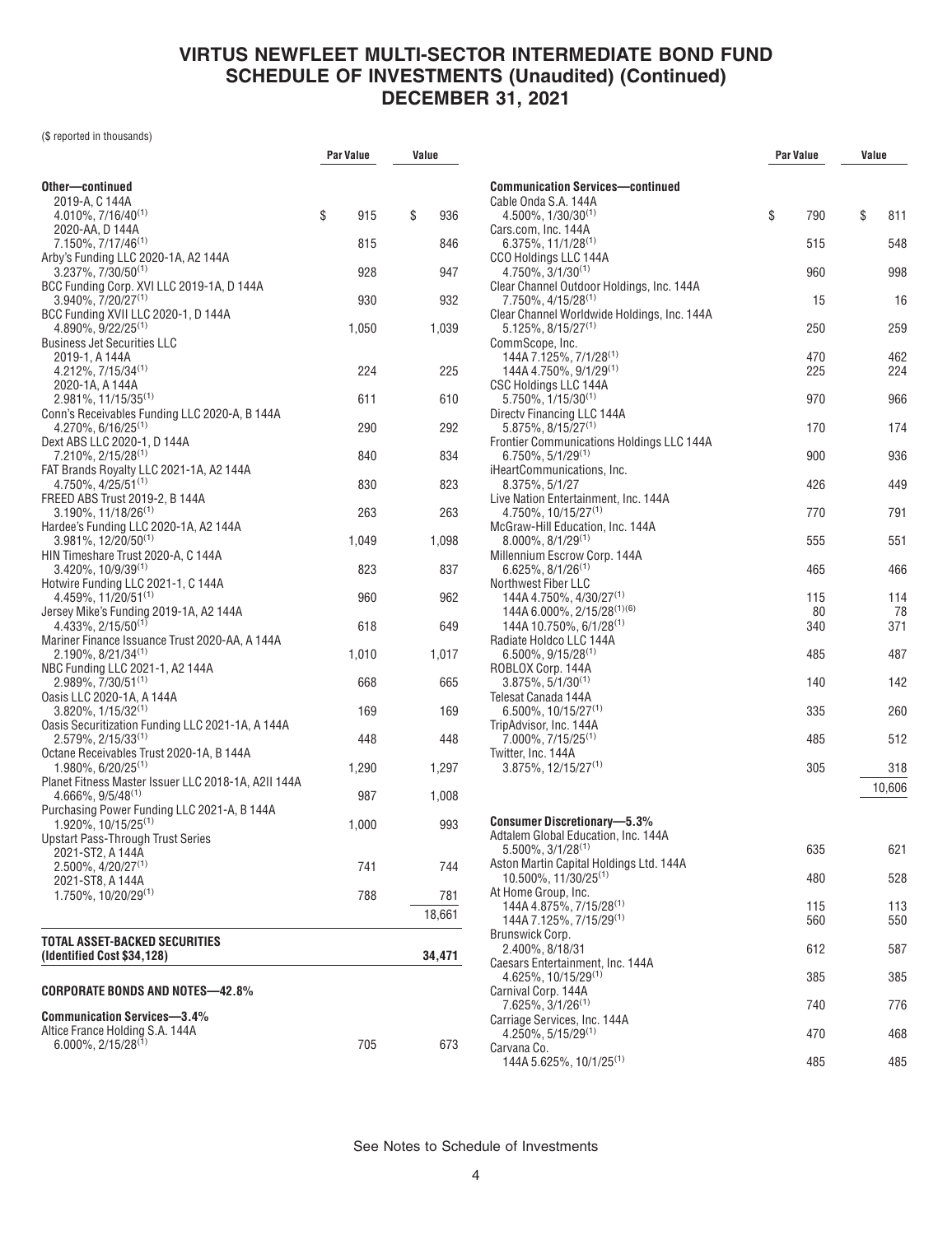(\$ reported in thousands)

|                                                                                     | <b>Par Value</b> | Value     |
|-------------------------------------------------------------------------------------|------------------|-----------|
| Other—continued                                                                     |                  |           |
| 2019-A, C 144A                                                                      |                  |           |
| 4.010%, 7/16/40(1)<br>2020-AA, D 144A                                               | \$<br>915        | \$<br>936 |
| 7.150%, 7/17/46 <sup>(1)</sup>                                                      | 815              | 846       |
| Arby's Funding LLC 2020-1A, A2 144A                                                 |                  |           |
| $3.237\%$ , $7/30/50^{(1)}$<br>BCC Funding Corp. XVI LLC 2019-1A, D 144A            | 928              | 947       |
| $3.940\%$ , $7/20/27^{(1)}$                                                         | 930              | 932       |
| BCC Funding XVII LLC 2020-1, D 144A<br>$4.890\%$ , $9/22/25^{(1)}$                  | 1,050            | 1,039     |
| <b>Business Jet Securities LLC</b>                                                  |                  |           |
| 2019-1, A 144A                                                                      |                  |           |
| $4.212\%, 7/15/34^{(1)}$<br>2020-1A, A 144A                                         | 224              | 225       |
| $2.981\%$ , 11/15/35 <sup>(1)</sup>                                                 | 611              | 610       |
| Conn's Receivables Funding LLC 2020-A, B 144A<br>$4.270\%$ , 6/16/25 <sup>(1)</sup> | 290              | 292       |
| Dext ABS LLC 2020-1, D 144A                                                         |                  |           |
| 7.210%, 2/15/28 <sup>(1)</sup>                                                      | 840              | 834       |
| FAT Brands Royalty LLC 2021-1A, A2 144A<br>$4.750\%$ , $4/25/51^{(1)}$              | 830              | 823       |
| FREED ABS Trust 2019-2, B 144A                                                      |                  |           |
| $3.190\%$ , 11/18/26 <sup>(1)</sup><br>Hardee's Funding LLC 2020-1A, A2 144A        | 263              | 263       |
| 3.981%, 12/20/50 <sup>(1)</sup>                                                     | 1,049            | 1,098     |
| HIN Timeshare Trust 2020-A, C 144A<br>$3.420\%$ , 10/9/39 <sup>(1)</sup>            | 823              | 837       |
| Hotwire Funding LLC 2021-1, C 144A                                                  |                  |           |
| 4.459%, 11/20/51(1)<br>Jersey Mike's Funding 2019-1A, A2 144A                       | 960              | 962       |
| $4.433\%, 2/15/50^{(1)}$                                                            | 618              | 649       |
| Mariner Finance Issuance Trust 2020-AA, A 144A<br>2.190%, 8/21/34(1)                | 1,010            | 1,017     |
| NBC Funding LLC 2021-1, A2 144A                                                     |                  |           |
| $2.989\%, 7/30/51^{(1)}$                                                            | 668              | 665       |
| Oasis LLC 2020-1A, A 144A<br>$3.820\%$ , $1/15/32^{(1)}$                            | 169              | 169       |
| Oasis Securitization Funding LLC 2021-1A, A 144A                                    |                  |           |
| $2.579\%$ , $2/15/33^{(1)}$<br>Octane Receivables Trust 2020-1A, B 144A             | 448              | 448       |
| 1.980%, 6/20/25 <sup>(1)</sup>                                                      | 1,290            | 1,297     |
| Planet Fitness Master Issuer LLC 2018-1A, A2II 144A<br>$4.666\%$ , $9/5/48^{(1)}$   | 987              | 1,008     |
| Purchasing Power Funding LLC 2021-A, B 144A                                         |                  |           |
| 1.920%, 10/15/25 <sup>(1)</sup><br><b>Upstart Pass-Through Trust Series</b>         | 1,000            | 993       |
| 2021-ST2, A 144A                                                                    |                  |           |
| $2.500\%$ , $4/20/27^{(1)}$                                                         | 741              | 744       |
| 2021-ST8, A 144A<br>$1.750\%$ , $10/20/29^{(1)}$                                    | 788              | 781       |
|                                                                                     |                  | 18,661    |
| TOTAL ASSET-BACKED SECURITIES                                                       |                  |           |
| (Identified Cost \$34,128)                                                          |                  | 34,471    |
|                                                                                     |                  |           |
| <b>CORPORATE BONDS AND NOTES-42.8%</b>                                              |                  |           |
| <b>Communication Services-3.4%</b>                                                  |                  |           |
| Altice France Holding S.A. 144A<br>$6.000\%$ , 2/15/28 <sup>(1)</sup>               | 705              | 673       |
|                                                                                     |                  |           |

|                                                                             | <b>Par Value</b> |            | Value |            |
|-----------------------------------------------------------------------------|------------------|------------|-------|------------|
| <b>Communication Services—continued</b>                                     |                  |            |       |            |
| Cable Onda S.A. 144A                                                        |                  |            |       |            |
| $4.500\%$ , $1/30/30^{(1)}$<br>Cars.com, Inc. 144A                          | \$               | 790        | \$    | 811        |
| $6.375\%, 11/1/28^{(1)}$                                                    |                  | 515        |       | 548        |
| CCO Holdings LLC 144A                                                       |                  |            |       |            |
| $4.750\%$ , $3/1/30^{(1)}$                                                  |                  | 960        |       | 998        |
| Clear Channel Outdoor Holdings, Inc. 144A<br>7.750%, 4/15/28 <sup>(1)</sup> |                  | 15         |       | 16         |
| Clear Channel Worldwide Holdings, Inc. 144A                                 |                  |            |       |            |
| $5.125\%$ , 8/15/27 <sup>(1)</sup>                                          |                  | 250        |       | 259        |
| CommScope, Inc.                                                             |                  |            |       |            |
| 144A 7.125%, 7/1/28 <sup>(1)</sup><br>144A 4.750%, 9/1/29(1)                |                  | 470<br>225 |       | 462<br>224 |
| CSC Holdings LLC 144A                                                       |                  |            |       |            |
| $5.750\%$ , $1/15/30^{(1)}$                                                 |                  | 970        |       | 966        |
| Directy Financing LLC 144A                                                  |                  |            |       |            |
| 5.875%, 8/15/27(1)<br><b>Frontier Communications Holdings LLC 144A</b>      |                  | 170        |       | 174        |
| $6.750\%, 5/1/29^{(1)}$                                                     |                  | 900        |       | 936        |
| iHeartCommunications, Inc.                                                  |                  |            |       |            |
| 8.375%, 5/1/27                                                              |                  | 426        |       | 449        |
| Live Nation Entertainment, Inc. 144A<br>4.750%, 10/15/27 <sup>(1)</sup>     |                  | 770        |       | 791        |
| McGraw-Hill Education, Inc. 144A                                            |                  |            |       |            |
| $8.000\%$ , $8/1/29^{(1)}$                                                  |                  | 555        |       | 551        |
| Millennium Escrow Corp. 144A                                                |                  |            |       |            |
| $6.625\%, 8/1/26^{(1)}$                                                     |                  | 465        |       | 466        |
| <b>Northwest Fiber LLC</b><br>144A 4.750%, 4/30/27 <sup>(1)</sup>           |                  | 115        |       | 114        |
| 144A 6.000%, 2/15/28(1)(6)                                                  |                  | 80         |       | 78         |
| $144A 10.750\%$ , 6/1/28 <sup>(1)</sup>                                     |                  | 340        |       | 371        |
| Radiate Holdco LLC 144A                                                     |                  |            |       |            |
| $6.500\%$ , 9/15/28 <sup>(1)</sup><br>ROBLOX Corp. 144A                     |                  | 485        |       | 487        |
| $3.875\%, 5/1/30^{(1)}$                                                     |                  | 140        |       | 142        |
| Telesat Canada 144A                                                         |                  |            |       |            |
| $6.500\%$ , 10/15/27 <sup>(1)</sup>                                         |                  | 335        |       | 260        |
| TripAdvisor, Inc. 144A<br>$7.000\%$ , $7/15/25^{(1)}$                       |                  | 485        |       | 512        |
| Twitter, Inc. 144A                                                          |                  |            |       |            |
| $3.875\%$ . 12/15/27 <sup>(1)</sup>                                         |                  | 305        |       | 318        |
|                                                                             |                  |            |       | 10,606     |
|                                                                             |                  |            |       |            |
| <b>Consumer Discretionary-5.3%</b>                                          |                  |            |       |            |
| Adtalem Global Education, Inc. 144A                                         |                  |            |       |            |
| $5.500\%$ , $3/1/28^{(1)}$<br>Aston Martin Capital Holdings Ltd. 144A       |                  | 635        |       | 621        |
| $10.500\%$ , $11/30/25^{(1)}$                                               |                  | 480        |       | 528        |
| At Home Group, Inc.                                                         |                  |            |       |            |
| 144A 4.875%, 7/15/28 <sup>(1)</sup>                                         |                  | 115        |       | 113        |
| 144A 7.125%, 7/15/29 <sup>(1)</sup><br>Brunswick Corp.                      |                  | 560        |       | 550        |
| 2.400%, 8/18/31                                                             |                  | 612        |       | 587        |
| Caesars Entertainment, Inc. 144A                                            |                  |            |       |            |
| 4.625%, 10/15/29(1)                                                         |                  | 385        |       | 385        |
| Carnival Corp. 144A<br>7.625%, 3/1/26 <sup>(1)</sup>                        |                  | 740        |       | 776        |
| Carriage Services, Inc. 144A                                                |                  |            |       |            |
| 4.250%, 5/15/29(1)                                                          |                  | 470        |       | 468        |
| Carvana Co.                                                                 |                  |            |       |            |
| 144A 5.625%, 10/1/25 <sup>(1)</sup>                                         |                  | 485        |       | 485        |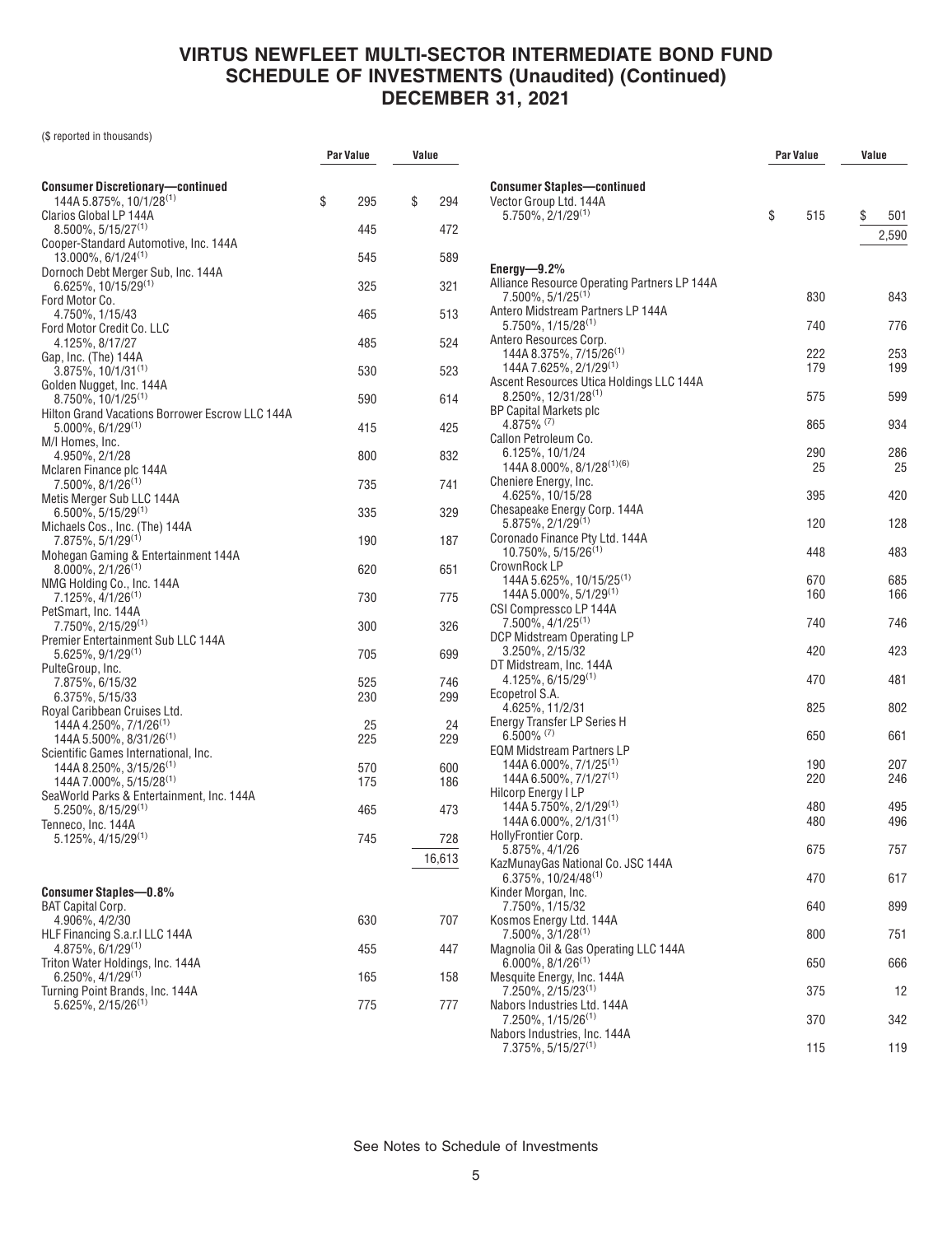**Par Value Value**

(\$ reported in thousands)

| <b>Consumer Discretionary-continued</b>                                              |            |               |
|--------------------------------------------------------------------------------------|------------|---------------|
| 144A 5.875%, 10/1/28 <sup>(1)</sup>                                                  | \$<br>295  | \$<br>294     |
| Clarios Global LP 144A<br>$8.500\%$ , 5/15/27 <sup>(1)</sup>                         | 445        | 472           |
| Cooper-Standard Automotive, Inc. 144A<br>$13.000\%$ , 6/1/24 <sup>(1)</sup>          | 545        | 589           |
| Dornoch Debt Merger Sub, Inc. 144A                                                   |            |               |
| 6.625%, 10/15/29 <sup>(1)</sup><br>Ford Motor Co.                                    | 325        | 321           |
| 4.750%, 1/15/43<br>Ford Motor Credit Co. LLC                                         | 465        | 513           |
| 4.125%, 8/17/27                                                                      | 485        | 524           |
| Gap, Inc. (The) 144A<br>$3.875\%, 10/1/31^{(1)}$                                     | 530        | 523           |
| Golden Nugget, Inc. 144A<br>$8.750\%$ , 10/1/25 <sup>(1)</sup>                       | 590        | 614           |
| Hilton Grand Vacations Borrower Escrow LLC 144A<br>$5.000\%$ , 6/1/29 <sup>(1)</sup> | 415        | 425           |
| M/I Homes, Inc.                                                                      |            |               |
| 4.950%, 2/1/28<br>Mclaren Finance plc 144A                                           | 800        | 832           |
| $7.500\%$ , $8/1/26^{(1)}$<br>Metis Merger Sub LLC 144A                              | 735        | 741           |
| $6.500\%$ , 5/15/29 <sup>(1)</sup>                                                   | 335        | 329           |
| Michaels Cos., Inc. (The) 144A<br>$7.875\%, 5/1/29^{(1)}$                            | 190        | 187           |
| Mohegan Gaming & Entertainment 144A<br>$8.000\%$ , $2/1/26^{(1)}$                    | 620        | 651           |
| NMG Holding Co., Inc. 144A<br>7.125%, 4/1/26 <sup>(1)</sup>                          | 730        | 775           |
| PetSmart, Inc. 144A                                                                  |            |               |
| 7.750%, 2/15/29 <sup>(1)</sup><br>Premier Entertainment Sub LLC 144A                 | 300        | 326           |
| $5.625\%, 9/1/29^{(1)}$<br>PulteGroup, Inc.                                          | 705        | 699           |
| 7.875%, 6/15/32                                                                      | 525        | 746           |
| 6.375%, 5/15/33<br>Royal Caribbean Cruises Ltd.                                      | 230        | 299           |
| 144A 4.250%, 7/1/26 <sup>(1)</sup><br>$144A 5.500\%$ , $8/31/26$ <sup>(1)</sup>      | 25<br>225  | 24<br>229     |
| Scientific Games International, Inc.                                                 |            |               |
| 144A 8.250%, 3/15/26 <sup>(1)</sup><br>144A 7.000%, 5/15/28 <sup>(1)</sup>           | 570<br>175 | 600<br>186    |
| SeaWorld Parks & Entertainment, Inc. 144A<br>$5.250\%$ , 8/15/29 <sup>(1)</sup>      | 465        | 473           |
| Tenneco, Inc. 144A<br>$5.125\%$ , 4/15/29 <sup>(1)</sup>                             | 745        |               |
|                                                                                      |            | 728<br>16,613 |
|                                                                                      |            |               |
| <b>Consumer Staples-0.8%</b><br><b>BAT Capital Corp.</b>                             |            |               |
| 4.906%, 4/2/30                                                                       | 630        | 707           |
| HLF Financing S.a.r.I LLC 144A<br>$4.875\%$ , 6/1/29 <sup>(1)</sup>                  | 455        | 447           |
| Triton Water Holdings, Inc. 144A<br>$6.250\%$ , 4/1/29 <sup>(1)</sup>                | 165        | 158           |
| Turning Point Brands, Inc. 144A<br>$5.625\%$ , 2/15/26 <sup>(1)</sup>                | 775        | 777           |
|                                                                                      |            |               |

|                                                                   | Par Value  | Value |            |
|-------------------------------------------------------------------|------------|-------|------------|
| <b>Consumer Staples-continued</b>                                 |            |       |            |
| Vector Group Ltd. 144A                                            |            |       |            |
| $5.750\%$ , $2/1/29^{(1)}$                                        | \$<br>515  | \$    | 501        |
|                                                                   |            |       | 2,590      |
|                                                                   |            |       |            |
| Energy- $9.2\%$                                                   |            |       |            |
| Alliance Resource Operating Partners LP 144A                      |            |       |            |
| 7.500%, 5/1/25 <sup>(1)</sup>                                     | 830        |       | 843        |
| Antero Midstream Partners LP 144A<br>$5.750\%$ , $1/15/28^{(1)}$  | 740        |       | 776        |
| Antero Resources Corp.                                            |            |       |            |
| 144A 8.375%, 7/15/26 <sup>(1)</sup>                               | 222        |       | 253        |
| 144A 7.625%, 2/1/29(1)                                            | 179        |       | 199        |
| Ascent Resources Utica Holdings LLC 144A                          |            |       |            |
| 8.250%, 12/31/28(1)                                               | 575        |       | 599        |
| <b>BP Capital Markets plc</b><br>$4.875\%$ <sup>(7)</sup>         | 865        |       | 934        |
| Callon Petroleum Co.                                              |            |       |            |
| 6.125%, 10/1/24                                                   | 290        |       | 286        |
| 144A 8.000%, 8/1/28(1)(6)                                         | 25         |       | 25         |
| Cheniere Energy, Inc.                                             |            |       |            |
| 4.625%, 10/15/28                                                  | 395        |       | 420        |
| Chesapeake Energy Corp. 144A                                      |            |       |            |
| $5.875\%, 2/1/29^{(1)}$<br>Coronado Finance Pty Ltd. 144A         | 120        |       | 128        |
| $10.750\%$ , 5/15/26 <sup>(1)</sup>                               | 448        |       | 483        |
| CrownRock LP                                                      |            |       |            |
| 144A 5.625%, 10/15/25 <sup>(1)</sup>                              | 670        |       | 685        |
| 144A 5.000%, 5/1/29 <sup>(1)</sup>                                | 160        |       | 166        |
| CSI Compressco LP 144A                                            | 740        |       | 746        |
| $7.500\%$ , $4/1/25^{(1)}$<br>DCP Midstream Operating LP          |            |       |            |
| 3.250%, 2/15/32                                                   | 420        |       | 423        |
| DT Midstream, Inc. 144A                                           |            |       |            |
| $4.125\%, 6/15/29^{(1)}$                                          | 470        |       | 481        |
| Ecopetrol S.A.                                                    |            |       |            |
| 4.625%, 11/2/31                                                   | 825        |       | 802        |
| <b>Energy Transfer LP Series H</b><br>$6.500\%$ (7)               | 650        |       | 661        |
| <b>EQM Midstream Partners LP</b>                                  |            |       |            |
| 144A 6.000%, 7/1/25 <sup>(1)</sup>                                | 190        |       | 207        |
| 144A 6.500%, 7/1/27 <sup>(1)</sup>                                | 220        |       | 246        |
| Hilcorp Energy I LP                                               |            |       |            |
| 144A 5.750%, 2/1/29 <sup>(1)</sup><br>144A 6.000%, $2/1/31^{(1)}$ | 480<br>480 |       | 495<br>496 |
| HollyFrontier Corp.                                               |            |       |            |
| 5.875%, 4/1/26                                                    | 675        |       | 757        |
| KazMunayGas National Co. JSC 144A                                 |            |       |            |
| 6.375%, 10/24/48 <sup>(1)</sup>                                   | 470        |       | 617        |
| Kinder Morgan, Inc.                                               |            |       |            |
| 7.750%, 1/15/32<br>Kosmos Energy Ltd. 144A                        | 640        |       | 899        |
| 7.500%, 3/1/28 <sup>(1)</sup>                                     | 800        |       | 751        |
| Magnolia Oil & Gas Operating LLC 144A                             |            |       |            |
| $6.000\%$ , $8/1/26^{(1)}$                                        | 650        |       | 666        |
| Mesquite Energy, Inc. 144A                                        |            |       |            |
| 7.250%, 2/15/23 <sup>(1)</sup>                                    | 375        |       | 12         |
| Nabors Industries Ltd. 144A<br>7.250%, 1/15/26 <sup>(1)</sup>     |            |       |            |
| Nabors Industries, Inc. 144A                                      | 370        |       | 342        |
| 7.375%, 5/15/27 <sup>(1)</sup>                                    | 115        |       | 119        |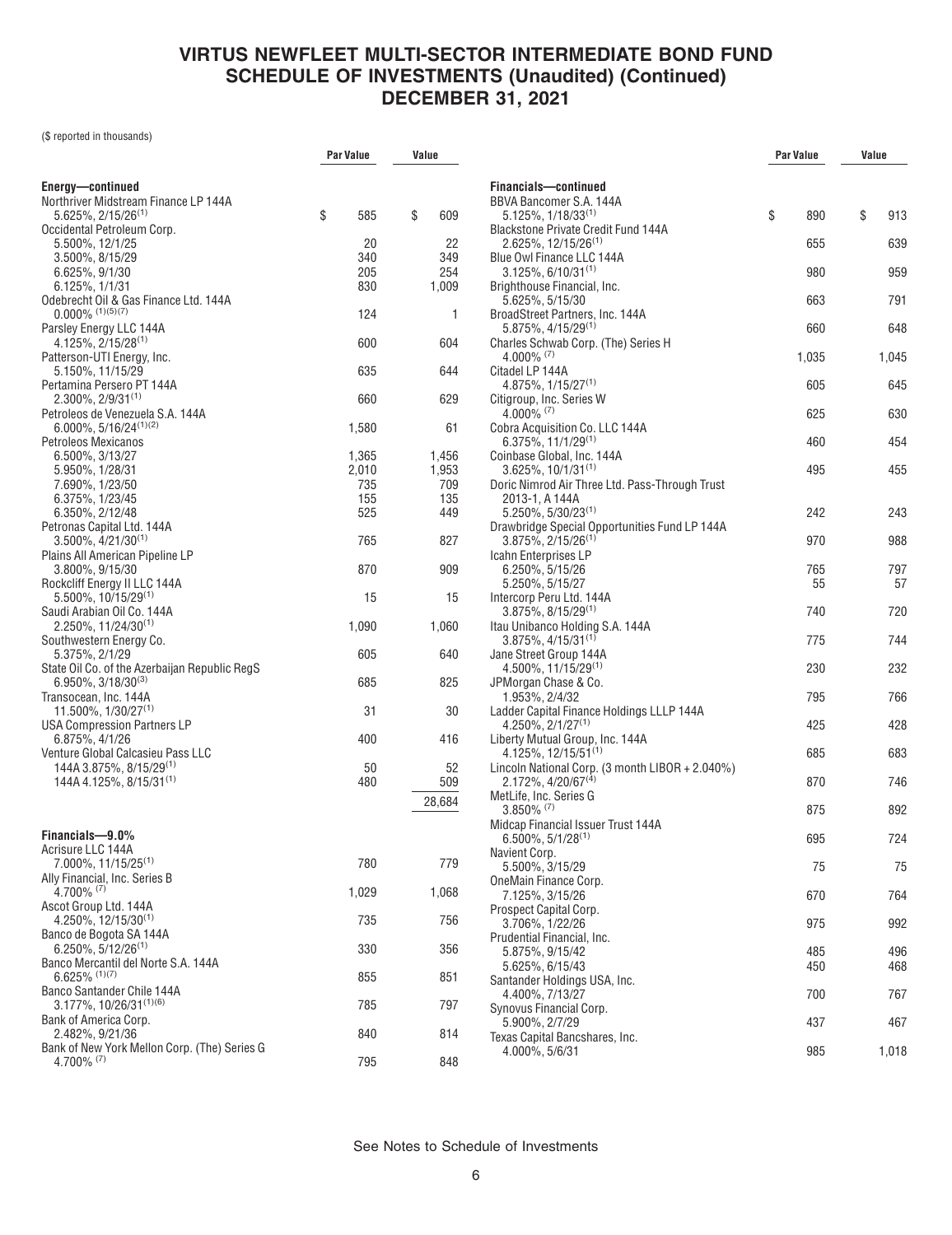(\$ reported in thousands)

|                                                                                     | Par Value    | Value        |
|-------------------------------------------------------------------------------------|--------------|--------------|
|                                                                                     |              |              |
| Energy-continued<br>Northriver Midstream Finance LP 144A                            |              |              |
| $5.625\%, 2/15/26^{(1)}$                                                            | \$<br>585    | \$<br>609    |
| Occidental Petroleum Corp.                                                          |              |              |
| 5.500%, 12/1/25<br>3.500%, 8/15/29                                                  | 20<br>340    | 22<br>349    |
| 6.625%, 9/1/30                                                                      | 205          | 254          |
| 6.125%, 1/1/31                                                                      | 830          | 1,009        |
| Odebrecht Oil & Gas Finance Ltd. 144A                                               |              |              |
| $0.000\%$ (1)(5)(7)<br>Parsley Energy LLC 144A                                      | 124          | 1            |
| $4.125\%, 2/15/28^{(1)}$                                                            | 600          | 604          |
| Patterson-UTI Energy, Inc.                                                          |              |              |
| 5.150%, 11/15/29                                                                    | 635          | 644          |
| Pertamina Persero PT 144A<br>$2.300\%$ , $2/9/31^{(1)}$                             | 660          | 629          |
| Petroleos de Venezuela S.A. 144A                                                    |              |              |
| $6.000\%$ , $5/16/24^{(1)(2)}$                                                      | 1,580        | 61           |
| Petroleos Mexicanos                                                                 |              |              |
| 6.500%, 3/13/27                                                                     | 1,365        | 1,456        |
| 5.950%, 1/28/31<br>7.690%, 1/23/50                                                  | 2,010<br>735 | 1,953<br>709 |
| 6.375%, 1/23/45                                                                     | 155          | 135          |
| 6.350%, 2/12/48                                                                     | 525          | 449          |
| Petronas Capital Ltd. 144A                                                          |              |              |
| $3.500\%$ , $4/21/30^{(1)}$<br>Plains All American Pipeline LP                      | 765          | 827          |
| 3.800%, 9/15/30                                                                     | 870          | 909          |
| Rockcliff Energy II LLC 144A                                                        |              |              |
| $5.500\%$ , 10/15/29 <sup>(1)</sup>                                                 | 15           | 15           |
| Saudi Arabian Oil Co. 144A<br>$2.250\%$ , 11/24/30 <sup>(1)</sup>                   | 1,090        | 1,060        |
| Southwestern Energy Co.                                                             |              |              |
| 5.375%, 2/1/29                                                                      | 605          | 640          |
| State Oil Co. of the Azerbaijan Republic RegS<br>$6.950\%$ , 3/18/30 <sup>(3)</sup> | 685          | 825          |
| Transocean, Inc. 144A                                                               |              |              |
| $11.500\%$ , $1/30/27^{(1)}$                                                        | 31           | 30           |
| USA Compression Partners LP                                                         |              |              |
| 6.875%, 4/1/26<br>Venture Global Calcasieu Pass LLC                                 | 400          | 416          |
| 144A 3.875%, 8/15/29 <sup>(1)</sup>                                                 | 50           | 52           |
| 144A 4.125%, 8/15/31 <sup>(1)</sup>                                                 | 480          | 509          |
|                                                                                     |              | 28,684       |
|                                                                                     |              |              |
| Financials-9.0%                                                                     |              |              |
| Acrisure LLC 144A                                                                   |              |              |
| 7.000%, 11/15/25 <sup>(1)</sup><br>Ally Financial, Inc. Series B                    | 780          | 779          |
| $4.700\%$ (7)                                                                       | 1,029        | 1,068        |
| Ascot Group Ltd. 144A                                                               |              |              |
| $4.250\%$ , 12/15/30 <sup>(1)</sup>                                                 | 735          | 756          |
| Banco de Bogota SA 144A<br>$6.250\%$ , 5/12/26 <sup>(1)</sup>                       | 330          | 356          |
| Banco Mercantil del Norte S.A. 144A                                                 |              |              |
| $6.625\%$ (1)(7)                                                                    | 855          | 851          |
| Banco Santander Chile 144A<br>3.177%, 10/26/31(1)(6)                                |              |              |
| Bank of America Corp.                                                               | 785          | 797          |
| 2.482%, 9/21/36                                                                     | 840          | 814          |
| Bank of New York Mellon Corp. (The) Series G                                        |              |              |
| 4.700% (7)                                                                          | 795          | 848          |

|                                                                                      | Par Value |           | Value |           |
|--------------------------------------------------------------------------------------|-----------|-----------|-------|-----------|
|                                                                                      |           |           |       |           |
| Financials-continued                                                                 |           |           |       |           |
| BBVA Bancomer S.A. 144A<br>$5.125\%, 1/18/33^{(1)}$                                  | \$        | 890       | \$    | 913       |
| <b>Blackstone Private Credit Fund 144A</b>                                           |           |           |       |           |
| $2.625\%$ , 12/15/26 <sup>(1)</sup>                                                  |           | 655       |       | 639       |
| Blue Owl Finance LLC 144A                                                            |           |           |       |           |
| $3.125\%$ , 6/10/31 <sup>(1)</sup>                                                   |           | 980       |       | 959       |
| Brighthouse Financial, Inc.                                                          |           |           |       |           |
| 5.625%, 5/15/30<br>BroadStreet Partners, Inc. 144A                                   |           | 663       |       | 791       |
| 5.875%, 4/15/29 <sup>(1)</sup>                                                       |           | 660       |       | 648       |
| Charles Schwab Corp. (The) Series H                                                  |           |           |       |           |
| $4.000\%$ (7)                                                                        |           | 1,035     |       | 1,045     |
| Citadel LP 144A                                                                      |           |           |       |           |
| $4.875\%$ , $1/15/27^{(1)}$<br>Citigroup, Inc. Series W                              |           | 605       |       | 645       |
| 4.000% (7)                                                                           |           | 625       |       | 630       |
| Cobra Acquisition Co. LLC 144A                                                       |           |           |       |           |
| $6.375\%, 11/1/29^{(1)}$                                                             |           | 460       |       | 454       |
| Coinbase Global, Inc. 144A                                                           |           |           |       |           |
| $3.625\%$ , 10/1/31 <sup>(1)</sup><br>Doric Nimrod Air Three Ltd. Pass-Through Trust |           | 495       |       | 455       |
| 2013-1, A 144A                                                                       |           |           |       |           |
| 5.250%, 5/30/23(1)                                                                   |           | 242       |       | 243       |
| Drawbridge Special Opportunities Fund LP 144A                                        |           |           |       |           |
| $3.875\%$ , 2/15/26 <sup>(1)</sup>                                                   |           | 970       |       | 988       |
| Icahn Enterprises LP                                                                 |           |           |       |           |
| 6.250%, 5/15/26<br>5.250%, 5/15/27                                                   |           | 765<br>55 |       | 797<br>57 |
| Intercorp Peru Ltd. 144A                                                             |           |           |       |           |
| $3.875\%$ , $8/15/29^{(1)}$                                                          |           | 740       |       | 720       |
| Itau Unibanco Holding S.A. 144A                                                      |           |           |       |           |
| $3.875\%, 4/15/31^{(1)}$                                                             |           | 775       |       | 744       |
| Jane Street Group 144A                                                               |           |           |       |           |
| $4.500\%$ , 11/15/29 <sup>(1)</sup><br>JPMorgan Chase & Co.                          |           | 230       |       | 232       |
| 1.953%, 2/4/32                                                                       |           | 795       |       | 766       |
| Ladder Capital Finance Holdings LLLP 144A                                            |           |           |       |           |
| $4.250\%$ , $2/1/27^{(1)}$                                                           |           | 425       |       | 428       |
| Liberty Mutual Group, Inc. 144A                                                      |           |           |       |           |
| 4.125%, 12/15/51(1)<br>Lincoln National Corp. (3 month LIBOR + 2.040%)               |           | 685       |       | 683       |
| $2.172\%$ , 4/20/67 <sup>(4)</sup>                                                   |           | 870       |       | 746       |
| MetLife, Inc. Series G                                                               |           |           |       |           |
| $3.850\%$ (7)                                                                        |           | 875       |       | 892       |
| Midcap Financial Issuer Trust 144A                                                   |           |           |       |           |
| $6.500\%$ , 5/1/28 <sup>(1)</sup><br>Navient Corp.                                   |           | 695       |       | 724       |
| 5.500%, 3/15/29                                                                      |           | 75        |       | 75        |
| OneMain Finance Corp.                                                                |           |           |       |           |
| 7.125%, 3/15/26                                                                      |           | 670       |       | 764       |
| Prospect Capital Corp.<br>3.706%, 1/22/26                                            |           |           |       | 992       |
| Prudential Financial, Inc.                                                           |           | 975       |       |           |
| 5.875%, 9/15/42                                                                      |           | 485       |       | 496       |
| 5.625%, 6/15/43                                                                      |           | 450       |       | 468       |
| Santander Holdings USA, Inc.                                                         |           |           |       |           |
| 4.400%, 7/13/27                                                                      |           | 700       |       | 767       |
| Synovus Financial Corp.<br>5.900%, 2/7/29                                            |           | 437       |       | 467       |
| Texas Capital Bancshares, Inc.                                                       |           |           |       |           |
| 4.000%, 5/6/31                                                                       |           | 985       |       | 1,018     |
|                                                                                      |           |           |       |           |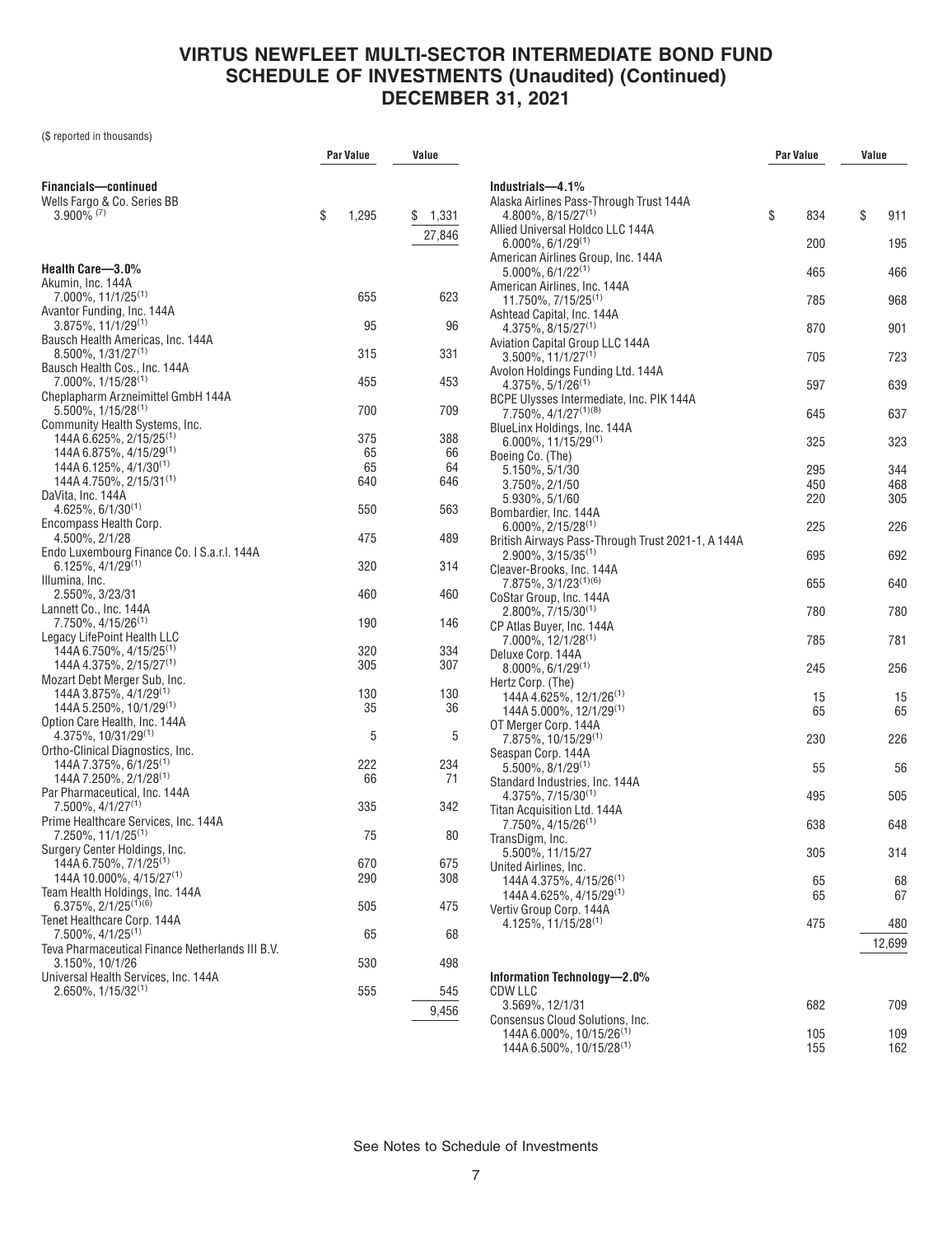(\$ reported in thousands)

|                                                                            | Par Value   | Value       |  |
|----------------------------------------------------------------------------|-------------|-------------|--|
|                                                                            |             |             |  |
| Financials-continued<br>Wells Fargo & Co. Series BB                        |             |             |  |
| $3.900\%$ (7)                                                              | \$<br>1,295 | \$<br>1,331 |  |
|                                                                            |             | 27,846      |  |
|                                                                            |             |             |  |
| Health Care-3.0%                                                           |             |             |  |
| Akumin, Inc. 144A<br>$7.000\%$ , 11/1/25 <sup>(1)</sup>                    | 655         | 623         |  |
| Avantor Funding, Inc. 144A                                                 |             |             |  |
| $3.875\%, 11/1/29^{(1)}$                                                   | 95          | 96          |  |
| Bausch Health Americas, Inc. 144A                                          |             |             |  |
| 8.500%, 1/31/27 <sup>(1)</sup><br>Bausch Health Cos., Inc. 144A            | 315         | 331         |  |
| $7.000\%$ , 1/15/28 <sup>(1)</sup>                                         | 455         | 453         |  |
| Cheplapharm Arzneimittel GmbH 144A                                         |             |             |  |
| $5.500\%$ , 1/15/28 <sup>(1)</sup><br>Community Health Systems, Inc.       | 700         | 709         |  |
| 144A 6.625%, 2/15/25 <sup>(1)</sup>                                        | 375         | 388         |  |
| 144A 6.875%, 4/15/29 <sup>(1)</sup>                                        | 65          | 66          |  |
| 144A 6.125%, 4/1/30 <sup>(1)</sup><br>144A 4.750%, 2/15/31 <sup>(1)</sup>  | 65          | 64          |  |
| DaVita, Inc. 144A                                                          | 640         | 646         |  |
| $4.625\%, 6/1/30^{(1)}$                                                    | 550         | 563         |  |
| Encompass Health Corp.                                                     |             |             |  |
| 4.500%, 2/1/28<br>Endo Luxembourg Finance Co. I S.a.r.l. 144A              | 475         | 489         |  |
| $6.125\%, 4/1/29^{(1)}$                                                    | 320         | 314         |  |
| Illumina, Inc.                                                             |             |             |  |
| 2.550%, 3/23/31<br>Lannett Co., Inc. 144A                                  | 460         | 460         |  |
| 7.750%, 4/15/26(1)                                                         | 190         | 146         |  |
| Legacy LifePoint Health LLC                                                |             |             |  |
| 144A 6.750%, 4/15/25 <sup>(1)</sup><br>144A 4.375%, 2/15/27 <sup>(1)</sup> | 320<br>305  | 334<br>307  |  |
| Mozart Debt Merger Sub, Inc.                                               |             |             |  |
| 144A 3.875%, 4/1/29 <sup>(1)</sup>                                         | 130         | 130         |  |
| 144A 5.250%, 10/1/29 <sup>(1)</sup>                                        | 35          | 36          |  |
| Option Care Health, Inc. 144A<br>$4.375\%$ , 10/31/29 <sup>(1)</sup>       | 5           | 5           |  |
| Ortho-Clinical Diagnostics, Inc.                                           |             |             |  |
| 144A 7.375%, 6/1/25 <sup>(1)</sup>                                         | 222         | 234         |  |
| 144A 7.250%, 2/1/28(1)<br>Par Pharmaceutical, Inc. 144A                    | 66          | 71          |  |
| 7.500%, 4/1/27 <sup>(1)</sup>                                              | 335         | 342         |  |
| Prime Healthcare Services, Inc. 144A                                       |             |             |  |
| 7.250%, 11/1/25 <sup>(1)</sup><br>Surgery Center Holdings, Inc.            | 75          | 80          |  |
| 144A 6.750%, 7/1/25 <sup>(1)</sup>                                         | 670         | 675         |  |
| 144A 10.000%, 4/15/27 <sup>(1)</sup>                                       | 290         | 308         |  |
| Team Health Holdings, Inc. 144A<br>$6.375\%, 2/1/25^{(1)(6)}$              |             |             |  |
| Tenet Healthcare Corp. 144A                                                | 505         | 475         |  |
| 7.500%, 4/1/25 <sup>(1)</sup>                                              | 65          | 68          |  |
| Teva Pharmaceutical Finance Netherlands III B.V.                           |             |             |  |
| 3.150%, 10/1/26<br>Universal Health Services, Inc. 144A                    | 530         | 498         |  |
| $2.650\%$ . $1/15/32^{(1)}$                                                | 555         | 545         |  |
|                                                                            |             | 9,456       |  |
|                                                                            |             |             |  |

|                                                                                         | Par Value |            | Value |            |
|-----------------------------------------------------------------------------------------|-----------|------------|-------|------------|
| Industrials-4.1%                                                                        |           |            |       |            |
| Alaska Airlines Pass-Through Trust 144A                                                 |           |            |       |            |
| $4.800\%$ , $8/15/27^{(1)}$<br>Allied Universal Holdco LLC 144A                         | \$        | 834        | \$    | 911        |
| $6.000\%$ , $6/1/29^{(1)}$                                                              |           | 200        |       | 195        |
| American Airlines Group, Inc. 144A                                                      |           |            |       |            |
| $5.000\%$ , 6/1/22 <sup>(1)</sup>                                                       |           | 465        |       | 466        |
| American Airlines, Inc. 144A<br>11.750%, 7/15/25 <sup>(1)</sup>                         |           | 785        |       | 968        |
| Ashtead Capital, Inc. 144A                                                              |           |            |       |            |
| $4.375\%$ , $8/15/27^{(1)}$                                                             |           | 870        |       | 901        |
| Aviation Capital Group LLC 144A<br>$3.500\%$ , 11/1/27 <sup>(1)</sup>                   |           | 705        |       | 723        |
| Avolon Holdings Funding Ltd. 144A                                                       |           |            |       |            |
| $4.375\%$ , 5/1/26 <sup>(1)</sup>                                                       |           | 597        |       | 639        |
| BCPE Ulysses Intermediate, Inc. PIK 144A<br>7.750%, 4/1/27(1)(8)                        |           | 645        |       | 637        |
| BlueLinx Holdings, Inc. 144A                                                            |           |            |       |            |
| 6.000%, 11/15/29(1)                                                                     |           | 325        |       | 323        |
| Boeing Co. (The)                                                                        |           |            |       |            |
| 5.150%, 5/1/30<br>3.750%, 2/1/50                                                        |           | 295<br>450 |       | 344<br>468 |
| 5.930%, 5/1/60                                                                          |           | 220        |       | 305        |
| Bombardier, Inc. 144A                                                                   |           |            |       |            |
| $6.000\%$ , 2/15/28 <sup>(1)</sup><br>British Airways Pass-Through Trust 2021-1, A 144A |           | 225        |       | 226        |
| $2.900\%$ , 3/15/35 <sup>(1)</sup>                                                      |           | 695        |       | 692        |
| Cleaver-Brooks, Inc. 144A                                                               |           |            |       |            |
| 7.875%, 3/1/23 <sup>(1)(6)</sup><br>CoStar Group, Inc. 144A                             |           | 655        |       | 640        |
| $2.800\%$ , 7/15/30 <sup>(1)</sup>                                                      |           | 780        |       | 780        |
| CP Atlas Buyer, Inc. 144A                                                               |           |            |       |            |
| 7.000%, 12/1/28(1)<br>Deluxe Corp. 144A                                                 |           | 785        |       | 781        |
| $8.000\%$ , 6/1/29 <sup>(1)</sup>                                                       |           | 245        |       | 256        |
| Hertz Corp. (The)                                                                       |           |            |       |            |
| $144A$ 4.625%, 12/1/26 <sup>(1)</sup>                                                   |           | 15<br>65   |       | 15<br>65   |
| $144A 5.000\%$ , $12/1/29^{(1)}$<br>OT Merger Corp. 144A                                |           |            |       |            |
| 7.875%, 10/15/29 <sup>(1)</sup>                                                         |           | 230        |       | 226        |
| Seaspan Corp. 144A                                                                      |           |            |       |            |
| $5.500\%$ , $8/1/29^{(1)}$<br>Standard Industries, Inc. 144A                            |           | 55         |       | 56         |
| $4.375\%, 7/15/30^{(1)}$                                                                |           | 495        |       | 505        |
| Titan Acquisition Ltd. 144A                                                             |           |            |       |            |
| 7.750%, 4/15/26 <sup>(1)</sup><br>TransDigm, Inc.                                       |           | 638        |       | 648        |
| 5.500%, 11/15/27                                                                        |           | 305        |       | 314        |
| United Airlines, Inc.                                                                   |           |            |       |            |
| 144A 4.375%, 4/15/26 <sup>(1)</sup><br>144A 4.625%, 4/15/29 <sup>(1)</sup>              |           | 65<br>65   |       | 68<br>67   |
| Vertiv Group Corp. 144A                                                                 |           |            |       |            |
| 4.125%. 11/15/28 <sup>(1)</sup>                                                         |           | 475        |       | 480        |
|                                                                                         |           |            |       | 12,699     |
|                                                                                         |           |            |       |            |
| Information Technology-2.0%                                                             |           |            |       |            |
| <b>CDW LLC</b><br>3.569%, 12/1/31                                                       |           | 682        |       | 709        |
| Consensus Cloud Solutions, Inc.                                                         |           |            |       |            |
| 144A 6.000%, 10/15/26 <sup>(1)</sup><br>144A 6.500%, 10/15/28 <sup>(1)</sup>            |           | 105<br>155 |       | 109<br>162 |
|                                                                                         |           |            |       |            |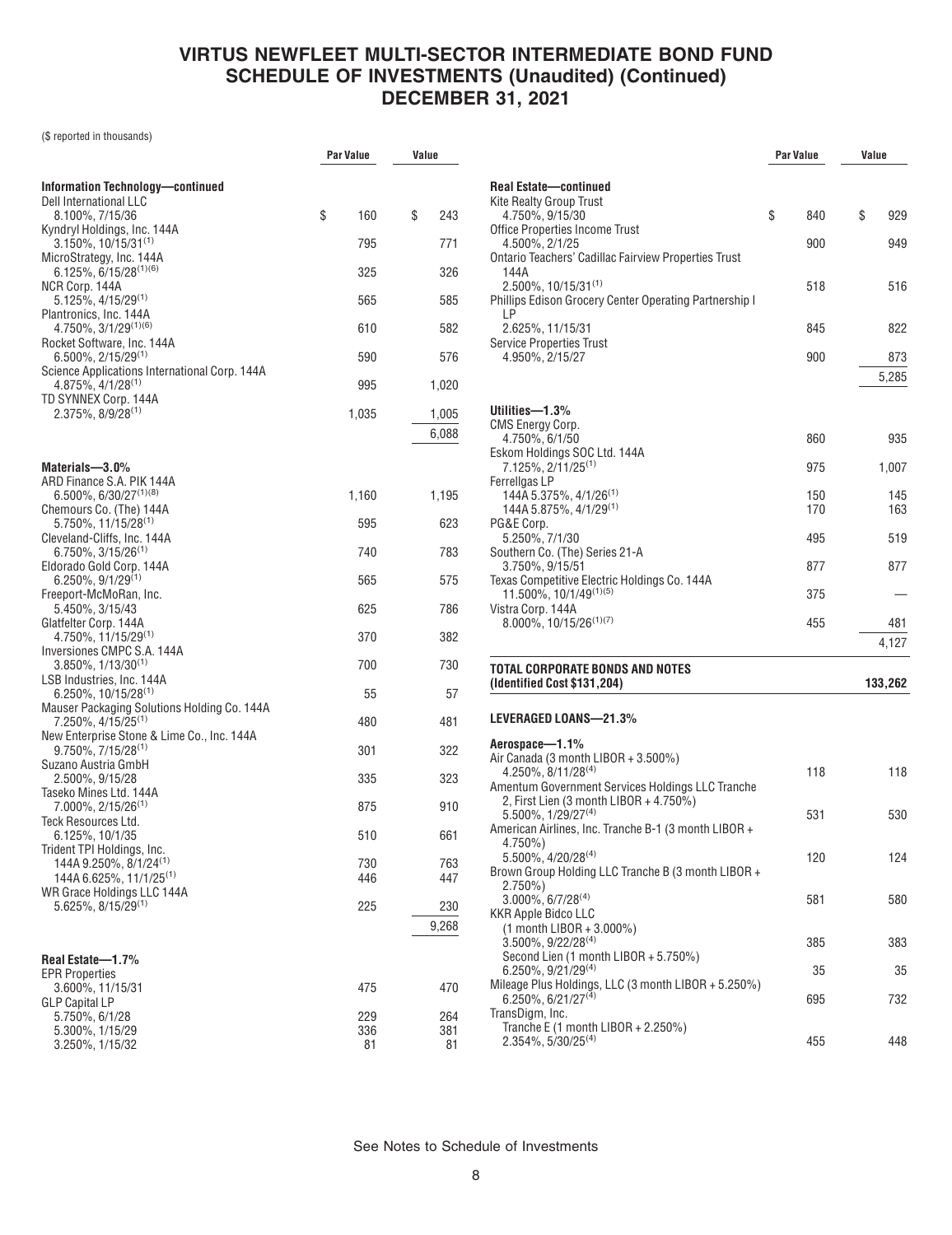(\$ reported in thousands)

|                                                                                    | Par Value  | Value      |  |
|------------------------------------------------------------------------------------|------------|------------|--|
| Information Technology-continued                                                   |            |            |  |
| Dell International LLC<br>8.100%, 7/15/36                                          | \$<br>160  | \$<br>243  |  |
| Kyndryl Holdings, Inc. 144A                                                        |            |            |  |
| $3.150\%$ , 10/15/31 <sup>(1)</sup><br>MicroStrategy, Inc. 144A                    | 795        | 771        |  |
| $6.125\%, 6/15/28^{(1)(6)}$                                                        | 325        | 326        |  |
| NCR Corp. 144A<br>$5.125\%$ , $4/15/29$ <sup>(1)</sup>                             | 565        | 585        |  |
| Plantronics, Inc. 144A<br>4.750%, 3/1/29(1)(6)                                     | 610        | 582        |  |
| Rocket Software, Inc. 144A<br>6.500%, 2/15/29(1)                                   | 590        | 576        |  |
| Science Applications International Corp. 144A<br>$4.875\%, 4/1/28^{(1)}$           | 995        | 1,020      |  |
| TD SYNNEX Corp. 144A                                                               |            |            |  |
| $2.375\%$ , $8/9/28^{(1)}$                                                         | 1,035      | 1,005      |  |
|                                                                                    |            | 6,088      |  |
| Materials-3.0%                                                                     |            |            |  |
| ARD Finance S.A. PIK 144A<br>$6.500\%$ , 6/30/27 <sup>(1)(8)</sup>                 | 1,160      | 1,195      |  |
| Chemours Co. (The) 144A                                                            |            |            |  |
| $5.750\%$ . 11/15/28 <sup>(1)</sup><br>Cleveland-Cliffs, Inc. 144A                 | 595        | 623        |  |
| $6.750\%$ , 3/15/26 <sup>(1)</sup>                                                 | 740        | 783        |  |
| Eldorado Gold Corp. 144A<br>$6.250\%$ , $9/1/29^{(1)}$                             | 565        | 575        |  |
| Freeport-McMoRan, Inc.<br>5.450%, 3/15/43                                          | 625        | 786        |  |
| Glatfelter Corp. 144A<br>$4.750\%$ , 11/15/29 <sup>(1)</sup>                       | 370        | 382        |  |
| Inversiones CMPC S.A. 144A                                                         |            |            |  |
| $3.850\%$ , $1/13/30^{(1)}$<br>LSB Industries, Inc. 144A                           | 700        | 730        |  |
| $6.250\%$ , 10/15/28 <sup>(1)</sup><br>Mauser Packaging Solutions Holding Co. 144A | 55         | 57         |  |
| 7.250%, 4/15/25 <sup>(1)</sup>                                                     | 480        | 481        |  |
| New Enterprise Stone & Lime Co., Inc. 144A<br>$9.750\%$ , $7/15/28^{(1)}$          | 301        | 322        |  |
| Suzano Austria GmbH<br>2.500%, 9/15/28                                             | 335        | 323        |  |
| Taseko Mines Ltd. 144A                                                             |            |            |  |
| 7.000%, 2/15/26 <sup>(1)</sup><br>Teck Resources Ltd.                              | 875        | 910        |  |
| 6.125%, 10/1/35<br>Trident TPI Holdings, Inc.                                      | 510        | 661        |  |
| 144A 9.250%, 8/1/24 <sup>(1)</sup>                                                 | 730        | 763        |  |
| 144A 6.625%, 11/1/25 <sup>(1)</sup><br>WR Grace Holdings LLC 144A                  | 446        | 447        |  |
| $5.625\%$ , $8/15/29^{(1)}$                                                        | 225        | 230        |  |
|                                                                                    |            | 9,268      |  |
| Real Estate-1.7%                                                                   |            |            |  |
| EPR Properties<br>3.600%, 11/15/31                                                 | 475        | 470        |  |
| <b>GLP Capital LP</b>                                                              |            |            |  |
| 5.750%, 6/1/28<br>5.300%, 1/15/29                                                  | 229<br>336 | 264<br>381 |  |
| 3.250%, 1/15/32                                                                    | 81         | 81         |  |

|                                                                                            | Par Value | Value     |
|--------------------------------------------------------------------------------------------|-----------|-----------|
|                                                                                            |           |           |
| <b>Real Estate-continued</b><br><b>Kite Realty Group Trust</b>                             |           |           |
| 4.750%, 9/15/30                                                                            | \$<br>840 | \$<br>929 |
| <b>Office Properties Income Trust</b>                                                      |           |           |
| 4.500%, 2/1/25                                                                             | 900       | 949       |
| <b>Ontario Teachers' Cadillac Fairview Properties Trust</b><br>144A                        |           |           |
| $2.500\%$ , 10/15/31 <sup>(1)</sup>                                                        | 518       | 516       |
| Phillips Edison Grocery Center Operating Partnership I                                     |           |           |
| LP<br>2.625%, 11/15/31                                                                     |           |           |
| <b>Service Properties Trust</b>                                                            | 845       | 822       |
| 4.950%, 2/15/27                                                                            | 900       | 873       |
|                                                                                            |           | 5,285     |
|                                                                                            |           |           |
| Utilities—1.3%                                                                             |           |           |
| <b>CMS Energy Corp.</b><br>4.750%, 6/1/50                                                  | 860       | 935       |
| Eskom Holdings SOC Ltd. 144A                                                               |           |           |
| 7.125%, 2/11/25 <sup>(1)</sup>                                                             | 975       | 1,007     |
| Ferrellgas LP                                                                              | 150       | 145       |
| 144A 5.375%, 4/1/26 <sup>(1)</sup><br>144A 5.875%, 4/1/29 <sup>(1)</sup>                   | 170       | 163       |
| PG&E Corp.                                                                                 |           |           |
| 5.250%, 7/1/30                                                                             | 495       | 519       |
| Southern Co. (The) Series 21-A<br>3.750%, 9/15/51                                          | 877       | 877       |
| Texas Competitive Electric Holdings Co. 144A                                               |           |           |
| 11.500%, 10/1/49(1)(5)                                                                     | 375       |           |
| Vistra Corp. 144A<br>$8.000\%$ , 10/15/26 <sup>(1)(7)</sup>                                | 455       | 481       |
|                                                                                            |           | 4,127     |
|                                                                                            |           |           |
| <b>TOTAL CORPORATE BONDS AND NOTES</b><br>(Identified Cost \$131,204)                      |           | 133,262   |
|                                                                                            |           |           |
| LEVERAGED LOANS-21.3%                                                                      |           |           |
| Aerospace-1.1%                                                                             |           |           |
| Air Canada (3 month LIBOR + 3.500%)                                                        |           |           |
| 4.250%, 8/11/28(4)                                                                         | 118       | 118       |
| Amentum Government Services Holdings LLC Tranche<br>2, First Lien (3 month LIBOR + 4.750%) |           |           |
| $5.500\%$ , $1/29/27^{(4)}$                                                                | 531       | 530       |
| American Airlines, Inc. Tranche B-1 (3 month LIBOR +                                       |           |           |
| 4.750%)<br>5.500%, 4/20/28(4)                                                              | 120       | 124       |
| Brown Group Holding LLC Tranche B (3 month LIBOR +                                         |           |           |
| $2.750\%)$                                                                                 |           |           |
| $3.000\%$ , 6/7/28 <sup>(4)</sup><br>KKR Apple Bidco LLC                                   | 581       | 580       |
| (1 month LIBOR + 3.000%)                                                                   |           |           |
| $3.500\%$ , $9/22/28^{(4)}$                                                                | 385       | 383       |
| Second Lien (1 month LIBOR + 5.750%)                                                       |           |           |
| 6.250%, 9/21/29(4)<br>Mileage Plus Holdings, LLC (3 month LIBOR + 5.250%)                  | 35        | 35        |
| $6.250\%, 6/21/27^{(4)}$                                                                   | 695       | 732       |
| TransDigm, Inc.                                                                            |           |           |
| Tranche E (1 month LIBOR + 2.250%)<br>$2.354\%, 5/30/25^{(4)}$                             | 455       | 448       |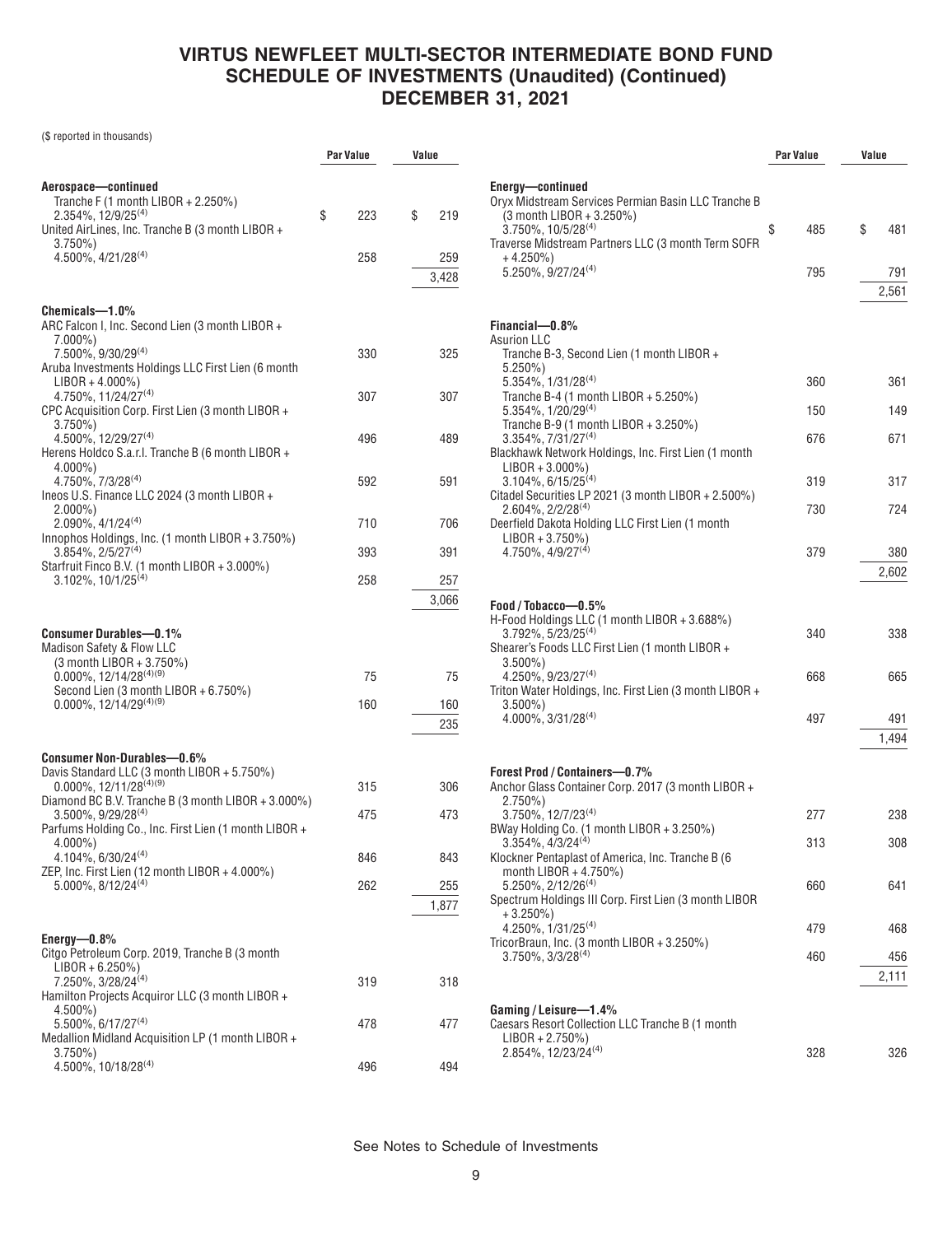(\$ reported in thousands)

|                                                                                                                                                                                                                    | <b>Par Value</b> | Value            |
|--------------------------------------------------------------------------------------------------------------------------------------------------------------------------------------------------------------------|------------------|------------------|
|                                                                                                                                                                                                                    |                  |                  |
| Aerospace—continued<br>Tranche F (1 month LIBOR + 2.250%)<br>$2.354\%, 12/9/25^{(4)}$<br>United AirLines, Inc. Tranche B (3 month LIBOR +                                                                          | \$<br>223        | \$<br>219        |
| 3.750%)                                                                                                                                                                                                            |                  |                  |
| 4.500%, 4/21/28(4)                                                                                                                                                                                                 | 258              | 259              |
|                                                                                                                                                                                                                    |                  | 3,428            |
| Chemicals-1.0%<br>ARC Falcon I, Inc. Second Lien (3 month LIBOR +<br>$7.000\%$ )                                                                                                                                   |                  |                  |
| 7.500%, 9/30/29 <sup>(4)</sup><br>Aruba Investments Holdings LLC First Lien (6 month<br>$LIBOR + 4.000\%)$                                                                                                         | 330              | 325              |
| 4.750%, 11/24/27(4)<br>CPC Acquisition Corp. First Lien (3 month LIBOR +<br>3.750%)                                                                                                                                | 307              | 307              |
| 4.500%, 12/29/27 <sup>(4)</sup><br>Herens Holdco S.a.r.l. Tranche B (6 month LIBOR +<br>$4.000\%$                                                                                                                  | 496              | 489              |
| $4.750\%$ , $7/3/28^{(4)}$<br>Ineos U.S. Finance LLC 2024 (3 month LIBOR +<br>$2.000\%$ )                                                                                                                          | 592              | 591              |
| 2.090%, 4/1/24(4)                                                                                                                                                                                                  | 710              | 706              |
| Innophos Holdings, Inc. (1 month LIBOR + 3.750%)<br>3.854%, 2/5/27(4)                                                                                                                                              | 393              | 391              |
| Starfruit Finco B.V. (1 month LIBOR + 3.000%)<br>$3.102\%$ , $10/1/25^{(4)}$                                                                                                                                       | 258              | 257              |
|                                                                                                                                                                                                                    |                  | 3,066            |
| <b>Consumer Durables-0.1%</b><br>Madison Safety & Flow LLC<br>(3 month LIBOR + 3.750%)<br>$0.000\%$ , 12/14/28 <sup>(4)(9)</sup><br>Second Lien (3 month LIBOR + 6.750%)<br>$0.000\%$ , 12/14/29 <sup>(4)(9)</sup> | 75<br>160        | 75<br>160<br>235 |
| Consumer Non-Durables-0.6%                                                                                                                                                                                         |                  |                  |
| Davis Standard LLC (3 month LIBOR + 5.750%)<br>$0.000\%$ , 12/11/28 <sup>(4)(9)</sup>                                                                                                                              | 315              | 306              |
| Diamond BC B.V. Tranche B (3 month LIBOR + 3.000%)<br>$3.500\%$ , $9/29/28^{(4)}$                                                                                                                                  | 475              | 473              |
| Parfums Holding Co., Inc. First Lien (1 month LIBOR +<br>4.000%)                                                                                                                                                   |                  |                  |
| 4.104%, 6/30/24(4)<br>ZEP, Inc. First Lien (12 month LIBOR + 4.000%)                                                                                                                                               | 846              | 843              |
| $5.000\%$ , $8/12/24^{(4)}$                                                                                                                                                                                        | 262              | 255              |
|                                                                                                                                                                                                                    |                  | 1,877            |
| Energy $-0.8\%$<br>Citgo Petroleum Corp. 2019, Tranche B (3 month<br>$LIBOR + 6.250\%)$                                                                                                                            |                  |                  |
| 7.250%, 3/28/24 <sup>(4)</sup><br>Hamilton Projects Acquiror LLC (3 month LIBOR +                                                                                                                                  | 319              | 318              |
| 4.500%)<br>5.500%, 6/17/27 <sup>(4)</sup><br>Medallion Midland Acquisition LP (1 month LIBOR +                                                                                                                     | 478              | 477              |
| $3.750\%$<br>4.500%, 10/18/28(4)                                                                                                                                                                                   | 496              | 494              |

|                                                                                                                                                                                          | Par Value |     | Value |              |
|------------------------------------------------------------------------------------------------------------------------------------------------------------------------------------------|-----------|-----|-------|--------------|
| Energy-continued<br>Oryx Midstream Services Permian Basin LLC Tranche B<br>(3 month LIBOR + 3.250%)<br>$3.750\%$ , $10/5/28^{(4)}$<br>Traverse Midstream Partners LLC (3 month Term SOFR | \$        | 485 | \$    | 481          |
| $+4.250\%$<br>$5.250\%$ , 9/27/24 <sup>(4)</sup>                                                                                                                                         |           | 795 |       | 791<br>2,561 |
|                                                                                                                                                                                          |           |     |       |              |
| Financial-0.8%<br>Asurion LLC                                                                                                                                                            |           |     |       |              |
| Tranche B-3, Second Lien (1 month LIBOR +<br>$5.250\%$                                                                                                                                   |           |     |       |              |
| $5.354\%$ , $1/31/28^{(4)}$<br>Tranche B-4 (1 month LIBOR + $5.250\%$ )                                                                                                                  |           | 360 |       | 361          |
| 5.354%, 1/20/29(4)                                                                                                                                                                       |           | 150 |       | 149          |
| Tranche B-9 (1 month LIBOR + 3.250%)<br>$3.354\%, 7/31/27^{(4)}$<br>Blackhawk Network Holdings, Inc. First Lien (1 month                                                                 |           | 676 |       | 671          |
| $LIBOR + 3.000\%)$<br>3.104%, 6/15/25 <sup>(4)</sup>                                                                                                                                     |           | 319 |       | 317          |
| Citadel Securities LP 2021 (3 month LIBOR + 2.500%)<br>$2.604\%, 2/2/28^{(4)}$<br>Deerfield Dakota Holding LLC First Lien (1 month                                                       |           | 730 |       | 724          |
| $LIBOR + 3.750\%)$<br>$4.750\%$ , $4/9/27^{(4)}$                                                                                                                                         |           | 379 |       | 380<br>2,602 |
| Food / Tobacco-0.5%                                                                                                                                                                      |           |     |       |              |
| H-Food Holdings LLC (1 month LIBOR + 3.688%)<br>$3.792\%$ , 5/23/25 <sup>(4)</sup><br>Shearer's Foods LLC First Lien (1 month LIBOR +                                                    |           | 340 |       | 338          |
| $3.500\%$ )<br>$4.250\%$ , 9/23/27 <sup>(4)</sup><br>Triton Water Holdings, Inc. First Lien (3 month LIBOR +                                                                             |           | 668 |       | 665          |
| $3.500\%$<br>4.000%, 3/31/28 <sup>(4)</sup>                                                                                                                                              |           | 497 |       | 491<br>1,494 |
|                                                                                                                                                                                          |           |     |       |              |
| <b>Forest Prod / Containers-0.7%</b><br>Anchor Glass Container Corp. 2017 (3 month LIBOR +<br>$2.750\%)$                                                                                 |           |     |       |              |
| $3.750\%$ , $12/7/23^{(4)}$<br>BWay Holding Co. (1 month LIBOR + 3.250%)                                                                                                                 |           | 277 |       | 238          |
| $3.354\%$ , $4/3/24^{(4)}$<br>Klockner Pentaplast of America, Inc. Tranche B (6                                                                                                          |           | 313 |       | 308          |
| month LIBOR + $4.750\%$ )<br>$5.250\%$ , $2/12/26^{(4)}$<br>Spectrum Holdings III Corp. First Lien (3 month LIBOR                                                                        |           | 660 |       | 641          |
| $+3.250\%$<br>4.250%, 1/31/25 <sup>(4)</sup>                                                                                                                                             |           | 479 |       | 468          |
| TricorBraun, Inc. (3 month LIBOR + 3.250%)<br>$3.750\%$ , $3/3/28^{(4)}$                                                                                                                 |           | 460 |       | 456          |
|                                                                                                                                                                                          |           |     |       | 2,111        |
| Gaming / Leisure-1.4%<br>Caesars Resort Collection LLC Tranche B (1 month<br>$LIBOR + 2.750\%)$                                                                                          |           |     |       |              |
| 2.854%, 12/23/24 <sup>(4)</sup>                                                                                                                                                          |           | 328 |       | 326          |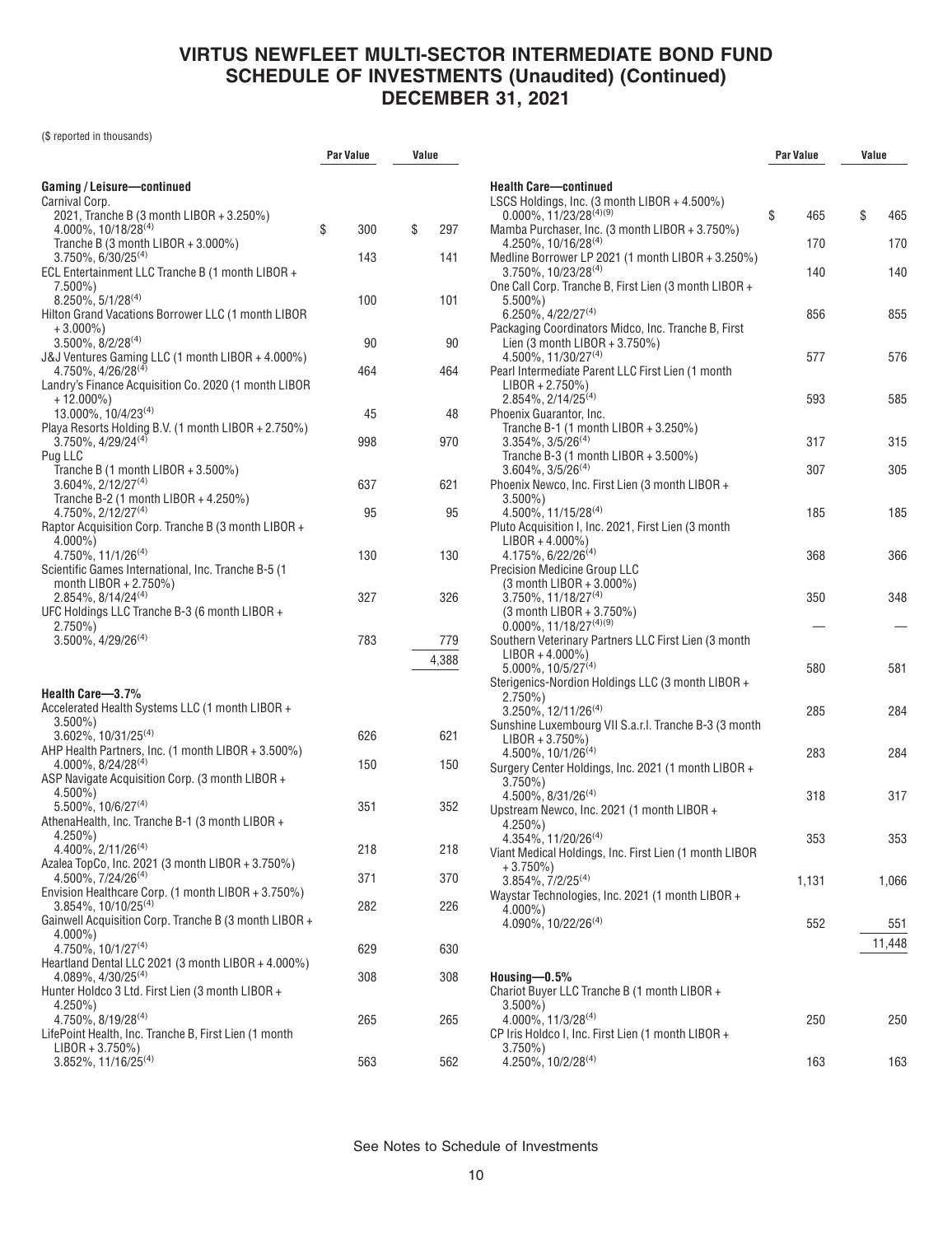(\$ reported in thousands)

|                                                                                           | Par Value | Value     |                             |
|-------------------------------------------------------------------------------------------|-----------|-----------|-----------------------------|
| Gaming / Leisure-continued                                                                |           |           | Health                      |
| Carnival Corp.<br>2021, Tranche B (3 month LIBOR + 3.250%)                                |           |           | <b>LSCS</b><br>0.00         |
| $4.000\%$ , 10/18/28 <sup>(4)</sup>                                                       | \$<br>300 | \$<br>297 | Mamb                        |
| Tranche B (3 month LIBOR + $3.000\%$ )<br>$3.750\%$ , 6/30/25 <sup>(4)</sup>              | 143       | 141       | 4.25<br>Medlin              |
| ECL Entertainment LLC Tranche B (1 month LIBOR +                                          |           |           | 3.75                        |
| 7.500%)<br>$8.250\%$ , 5/1/28 <sup>(4)</sup>                                              | 100       | 101       | One Ca<br>5.50              |
| Hilton Grand Vacations Borrower LLC (1 month LIBOR                                        |           |           | 6.25                        |
| $+3.000\%$                                                                                |           |           | Packa                       |
| $3.500\%$ , $8/2/28^{(4)}$<br>J&J Ventures Gaming LLC (1 month LIBOR + 4.000%)            | 90        | 90        | Lien<br>4.50                |
| 4.750%, 4/26/28 <sup>(4)</sup>                                                            | 464       | 464       | Pearl I                     |
| Landry's Finance Acquisition Co. 2020 (1 month LIBOR                                      |           |           | LIB(                        |
| + 12.000%)<br>13.000%, 10/4/23(4)                                                         | 45        | 48        | 2.85<br>Phoen               |
| Playa Resorts Holding B.V. (1 month LIBOR + 2.750%)                                       |           |           | Trar                        |
| $3.750\%$ , $4/29/24^{(4)}$                                                               | 998       | 970       | 3.35                        |
| Pug LLC<br>Tranche B (1 month LIBOR + $3.500\%$ )                                         |           |           | Trar<br>3.60                |
| 3.604%, 2/12/27 <sup>(4)</sup>                                                            | 637       | 621       | Phoen                       |
| Tranche B-2 (1 month LIBOR + 4.250%)                                                      |           |           | 3.50                        |
| 4.750%, 2/12/27 <sup>(4)</sup><br>Raptor Acquisition Corp. Tranche B (3 month LIBOR +     | 95        | 95        | 4.50                        |
| $4.000\%$                                                                                 |           |           | Pluto A<br>LIB <sub>(</sub> |
| $4.750\%$ , $11/1/26^{(4)}$                                                               | 130       | 130       | 4.17                        |
| Scientific Games International, Inc. Tranche B-5 (1                                       |           |           | Precis                      |
| month LIBOR + $2.750\%$ )<br>$2.854\%, 8/14/24^{(4)}$                                     | 327       | 326       | (3 m<br>3.75                |
| UFC Holdings LLC Tranche B-3 (6 month LIBOR +                                             |           |           | (3 m                        |
| $2.750\%)$                                                                                |           |           | 0.00                        |
| $3.500\%$ , $4/29/26^{(4)}$                                                               | 783       | 779       | Southe<br>LIB(              |
|                                                                                           |           | 4,388     | 5.00                        |
| Health Care-3.7%                                                                          |           |           | <b>Sterige</b>              |
| Accelerated Health Systems LLC (1 month LIBOR +                                           |           |           | 2.75<br>3.25                |
| $3.500\%$ )                                                                               |           |           | Sunsh                       |
| $3.602\%$ , 10/31/25 <sup>(4)</sup><br>AHP Health Partners, Inc. (1 month LIBOR + 3.500%) | 626       | 621       | LIB <sub>(</sub>            |
| $4.000\%$ . $8/24/28^{(4)}$                                                               | 150       | 150       | 4.50<br>Surger              |
| ASP Navigate Acquisition Corp. (3 month LIBOR +                                           |           |           | 3.75                        |
| $4.500\%$ )<br>$5.500\%$ , 10/6/27 <sup>(4)</sup>                                         | 351       | 352       | 4.50                        |
| AthenaHealth, Inc. Tranche B-1 (3 month LIBOR +                                           |           |           | Upstre<br>4.25              |
| 4.250%)                                                                                   |           |           | 4.35                        |
| 4.400%, 2/11/26 <sup>(4)</sup><br>Azalea TopCo, Inc. 2021 (3 month LIBOR + 3.750%)        | 218       | 218       | Viant N                     |
| 4.500%, 7/24/26 <sup>(4)</sup>                                                            | 371       | 370       | $+3.$<br>3.85               |
| Envision Healthcare Corp. (1 month LIBOR + 3.750%)                                        |           |           | Waysta                      |
| 3.854%, 10/10/25 <sup>(4)</sup><br>Gainwell Acquisition Corp. Tranche B (3 month LIBOR +  | 282       | 226       | 4.00                        |
| $4.000\%$ )                                                                               |           |           | 4.09                        |
| 4.750%, 10/1/27(4)                                                                        | 629       | 630       |                             |
| Heartland Dental LLC 2021 (3 month LIBOR + 4.000%)<br>$4.089\%$ , $4/30/25^{(4)}$         | 308       | 308       | Housir                      |
| Hunter Holdco 3 Ltd. First Lien (3 month LIBOR +                                          |           |           | Chario                      |
| 4.250%)                                                                                   |           |           | 3.50                        |
| 4.750%, 8/19/28(4)<br>LifePoint Health, Inc. Tranche B, First Lien (1 month               | 265       | 265       | 4.00<br><b>CP</b> Iris      |
| $LIBOR + 3.750\%)$                                                                        |           |           | 3.75                        |
| 3.852%, 11/16/25 <sup>(4)</sup>                                                           | 563       | 562       | 4.25                        |

|                                                                                                                    | <b>Par Value</b> | Value         |
|--------------------------------------------------------------------------------------------------------------------|------------------|---------------|
|                                                                                                                    |                  |               |
| <b>Health Care-continued</b><br>LSCS Holdings, Inc. (3 month LIBOR + 4.500%)<br>0.000%, 11/23/28 <sup>(4)(9)</sup> |                  |               |
| Mamba Purchaser, Inc. (3 month LIBOR + 3.750%)                                                                     | \$<br>465        | \$<br>465     |
| 4.250%, 10/16/28(4)<br>Medline Borrower LP 2021 (1 month LIBOR + 3.250%)                                           | 170              | 170           |
| $3.750\%$ , 10/23/28 <sup>(4)</sup><br>One Call Corp. Tranche B, First Lien (3 month LIBOR +                       | 140              | 140           |
| $5.500\%$<br>$6.250\%$ , 4/22/27 <sup>(4)</sup><br>Packaging Coordinators Midco, Inc. Tranche B, First             | 856              | 855           |
| Lien (3 month LIBOR $+3.750\%$ )<br>$4.500\%$ , 11/30/27 <sup>(4)</sup>                                            | 577              | 576           |
| Pearl Intermediate Parent LLC First Lien (1 month<br>$LIBOR + 2.750\%)$                                            |                  |               |
| $2.854\%, 2/14/25^{(4)}$<br>Phoenix Guarantor, Inc.                                                                | 593              | 585           |
| Tranche B-1 (1 month LIBOR + 3.250%)<br>$3.354\%$ , $3/5/26^{(4)}$                                                 | 317              | 315           |
| Tranche B-3 (1 month LIBOR + 3.500%)<br>$3.604\%$ , $3/5/26^{(4)}$                                                 | 307              | 305           |
| Phoenix Newco, Inc. First Lien (3 month LIBOR +<br>$3.500\%$                                                       |                  |               |
| 4.500%, 11/15/28(4)<br>Pluto Acquisition I, Inc. 2021, First Lien (3 month                                         | 185              | 185           |
| $LIBOR + 4.000\%)$<br>4.175%, 6/22/26 <sup>(4)</sup><br><b>Precision Medicine Group LLC</b>                        | 368              | 366           |
| (3 month LIBOR + 3.000%)<br>$3.750\%$ , 11/18/27 <sup>(4)</sup>                                                    | 350              | 348           |
| $(3 \text{ month LIBOR} + 3.750\%)$<br>$0.000\%$ , 11/18/27 <sup>(4)(9)</sup>                                      |                  |               |
| Southern Veterinary Partners LLC First Lien (3 month<br>$LIBOR + 4.000\%)$<br>$5.000\%$ , $10/5/27^{(4)}$          | 580              | 581           |
| Sterigenics-Nordion Holdings LLC (3 month LIBOR +<br>$2.750\%$                                                     |                  |               |
| $3.250\%$ , 12/11/26 <sup>(4)</sup><br>Sunshine Luxembourg VII S.a.r.I. Tranche B-3 (3 month                       | 285              | 284           |
| $LIBOR + 3.750\%)$<br>4.500%, 10/1/26 <sup>(4)</sup>                                                               | 283              | 284           |
| Surgery Center Holdings, Inc. 2021 (1 month LIBOR +<br>$3.750\%$                                                   |                  |               |
| $4.500\%$ , $8/31/26^{(4)}$<br>Upstream Newco, Inc. 2021 (1 month LIBOR +<br>$4.250\%$                             | 318              | 317           |
| $4.354\%, 11/20/26^{(4)}$<br>Viant Medical Holdings, Inc. First Lien (1 month LIBOR                                | 353              | 353           |
| $+3.750\%)$<br>3.854%, 7/2/25 <sup>(4)</sup>                                                                       | 1,131            | 1,066         |
| Waystar Technologies, Inc. 2021 (1 month LIBOR +<br>4.000%)                                                        |                  |               |
| 4.090%, 10/22/26 <sup>(4)</sup>                                                                                    | 552              | 551<br>11,448 |
| Housing $-0.5%$                                                                                                    |                  |               |
| Chariot Buyer LLC Tranche B (1 month LIBOR +<br>$3.500\%$                                                          |                  |               |
| 4.000%, 11/3/28(4)<br>CP Iris Holdco I, Inc. First Lien (1 month LIBOR +                                           | 250              | 250           |
| $3.750\%$<br>4.250%, 10/2/28 <sup>(4)</sup>                                                                        | 163              | 163           |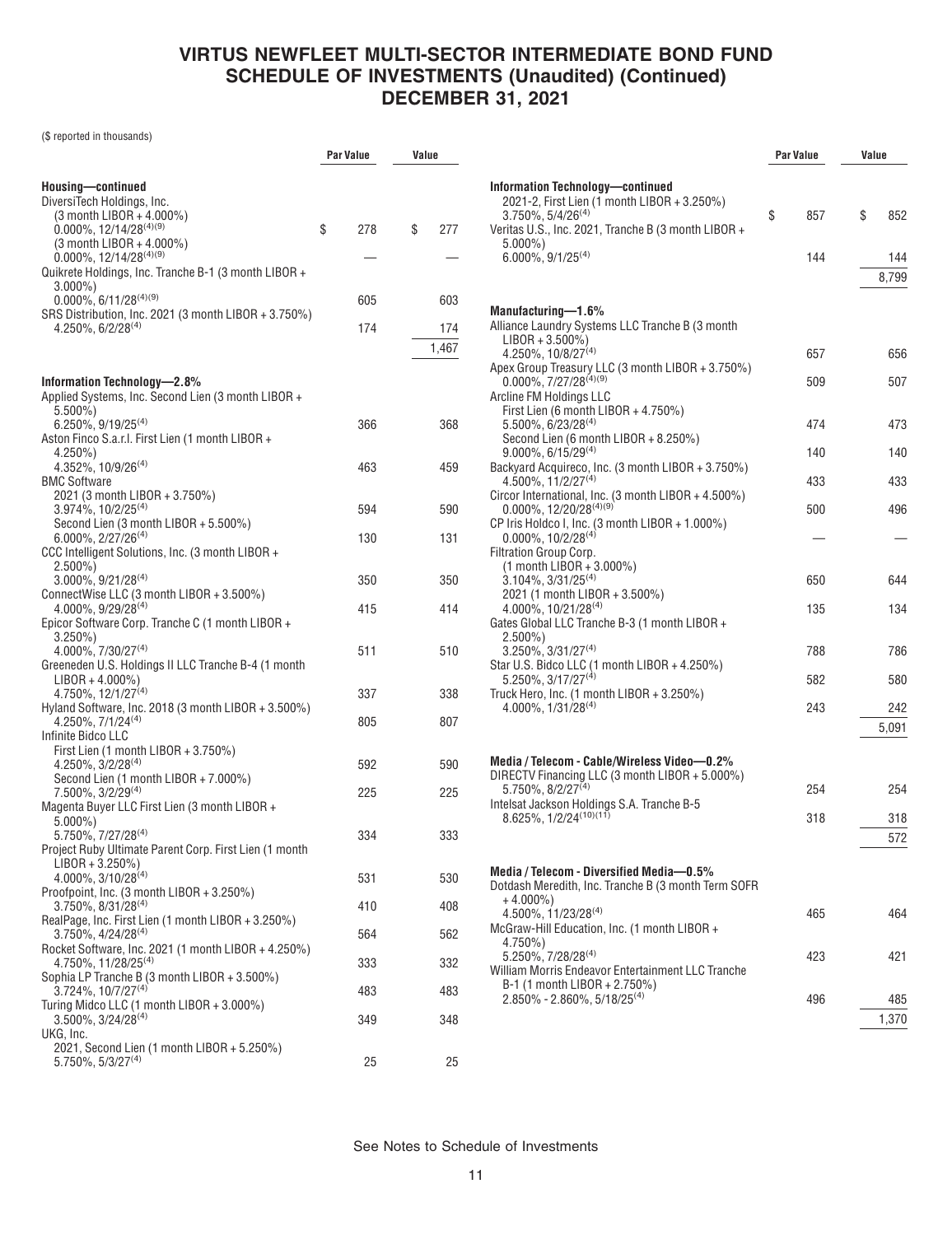(\$ reported in thousands)

|                                                                                                                                                 | Par Value | Value |              |
|-------------------------------------------------------------------------------------------------------------------------------------------------|-----------|-------|--------------|
| Housing-continued<br>DiversiTech Holdings, Inc.                                                                                                 |           |       |              |
| (3 month LIBOR + 4.000%)<br>$0.000\%$ , 12/14/28 <sup>(4)(9)</sup><br>(3 month LIBOR + 4.000%)                                                  | \$<br>278 | \$    | 277          |
| $0.000\%$ , 12/14/28 <sup>(4)(9)</sup><br>Quikrete Holdings, Inc. Tranche B-1 (3 month LIBOR +                                                  |           |       |              |
| $3.000\%$ )<br>$0.000\%$ , 6/11/28 <sup>(4)(9)</sup><br>SRS Distribution, Inc. 2021 (3 month LIBOR + 3.750%)                                    | 605       |       | 603          |
| $4.250\%$ , 6/2/28 <sup>(4)</sup>                                                                                                               | 174       |       | 174<br>1,467 |
| Information Technology-2.8%                                                                                                                     |           |       |              |
| Applied Systems, Inc. Second Lien (3 month LIBOR +<br>$5.500\%$ )                                                                               |           |       |              |
| 6.250%, 9/19/25 <sup>(4)</sup><br>Aston Finco S.a.r.l. First Lien (1 month LIBOR +<br>4.250%)                                                   | 366       |       | 368          |
| 4.352%, 10/9/26 <sup>(4)</sup><br><b>BMC Software</b>                                                                                           | 463       |       | 459          |
| 2021 (3 month LIBOR + 3.750%)<br>3.974%, 10/2/25 <sup>(4)</sup><br>Second Lien (3 month LIBOR + 5.500%)                                         | 594       |       | 590          |
| 6.000%, 2/27/26(4)<br>CCC Intelligent Solutions, Inc. (3 month LIBOR +                                                                          | 130       |       | 131          |
| $2.500\%$<br>3.000%, 9/21/28(4)<br>ConnectWise LLC (3 month LIBOR + 3.500%)                                                                     | 350       |       | 350          |
| 4.000%, 9/29/28(4)<br>Epicor Software Corp. Tranche C (1 month LIBOR +                                                                          | 415       |       | 414          |
| 3.250%)<br>4.000%, 7/30/27(4)<br>Greeneden U.S. Holdings II LLC Tranche B-4 (1 month                                                            | 511       |       | 510          |
| $LIBOR + 4.000\%)$<br>4.750%, 12/1/27 <sup>(4)</sup>                                                                                            | 337       |       | 338          |
| Hyland Software, Inc. 2018 (3 month LIBOR $+ 3.500\%$ )<br>$4.250\%$ , $7/1/24^{(4)}$<br>Infinite Bidco LLC                                     | 805       |       | 807          |
| First Lien (1 month LIBOR + 3.750%)<br>4.250%, 3/2/28 <sup>(4)</sup>                                                                            | 592       |       | 590          |
| Second Lien (1 month LIBOR + 7.000%)<br>7.500%, 3/2/29 <sup>(4)</sup><br>Magenta Buyer LLC First Lien (3 month LIBOR +                          | 225       |       | 225          |
| $5.000\%$<br>5.750%, 7/27/28 <sup>(4)</sup><br>Project Ruby Ultimate Parent Corp. First Lien (1 month                                           | 334       |       | 333          |
| LIBOR + 3.250%)<br>4.000%, 3/10/28(4)                                                                                                           | 531       |       | 530          |
| Proofpoint, Inc. (3 month LIBOR + 3.250%)<br>$3.750\%$ , $8/31/28^{(4)}$                                                                        | 410       |       | 408          |
| RealPage, Inc. First Lien (1 month LIBOR + 3.250%)<br>$3.750\%$ , 4/24/28 <sup>(4)</sup><br>Rocket Software, Inc. 2021 (1 month LIBOR + 4.250%) | 564       |       | 562          |
| 4.750%, 11/28/25 <sup>(4)</sup><br>Sophia LP Tranche B (3 month LIBOR + 3.500%)                                                                 | 333       |       | 332          |
| 3.724%, 10/7/27 <sup>(4)</sup><br>Turing Midco LLC (1 month LIBOR + 3.000%)                                                                     | 483       |       | 483          |
| 3.500%, 3/24/28(4)<br>UKG, Inc.                                                                                                                 | 349       |       | 348          |
| 2021, Second Lien (1 month LIBOR + 5.250%)<br>$5.750\%$ , $5/3/27^{(4)}$                                                                        | 25        |       | 25           |

|                                                                                                                                | Par Value |     | Value |              |
|--------------------------------------------------------------------------------------------------------------------------------|-----------|-----|-------|--------------|
| Information Technology-continued<br>2021-2, First Lien (1 month LIBOR + 3.250%)<br>$3.750\%$ , 5/4/26 <sup>(4)</sup>           | \$        | 857 | \$    | 852          |
| Veritas U.S., Inc. 2021, Tranche B (3 month LIBOR +<br>$5.000\%$<br>$6.000\%$ , $9/1/25^{(4)}$                                 |           | 144 |       | 144<br>8,799 |
| Manufacturing-1.6%<br>Alliance Laundry Systems LLC Tranche B (3 month                                                          |           |     |       |              |
| $LIBOR + 3.500\%)$<br>4.250%, 10/8/27(4)                                                                                       |           | 657 |       | 656          |
| Apex Group Treasury LLC (3 month LIBOR + 3.750%)<br>$0.000\%$ , 7/27/28 <sup>(4)(9)</sup><br>Arcline FM Holdings LLC           |           | 509 |       | 507          |
| First Lien (6 month LIBOR + 4.750%)<br>$5.500\%$ , 6/23/28 <sup>(4)</sup><br>Second Lien (6 month LIBOR + 8.250%)              |           | 474 |       | 473          |
| $9.000\%$ . 6/15/29 <sup>(4)</sup>                                                                                             |           | 140 |       | 140          |
| Backyard Acquireco, Inc. (3 month LIBOR + 3.750%)<br>$4.500\%$ , 11/2/27 <sup>(4)</sup>                                        |           | 433 |       | 433          |
| Circor International, Inc. (3 month LIBOR + 4.500%)<br>0.000%, 12/20/28(4)(9)                                                  |           | 500 |       | 496          |
| CP Iris Holdco I, Inc. (3 month LIBOR + 1.000%)<br>$0.000\%$ , $10/2/28^{(4)}$                                                 |           |     |       |              |
| <b>Filtration Group Corp.</b><br>(1 month LIBOR + 3.000%)<br>$3.104\%, 3/31/25^{(4)}$                                          |           | 650 |       | 644          |
| 2021 (1 month LIBOR + 3.500%)<br>4.000%, 10/21/28(4)<br>Gates Global LLC Tranche B-3 (1 month LIBOR +                          |           | 135 |       | 134          |
| $2.500\%)$<br>$3.250\%, 3/31/27^{(4)}$<br>Star U.S. Bidco LLC (1 month LIBOR + 4.250%)                                         |           | 788 |       | 786          |
| $5.250\%$ , 3/17/27 <sup>(4)</sup>                                                                                             |           | 582 |       | 580          |
| Truck Hero, Inc. (1 month LIBOR + 3.250%)<br>$4.000\%$ , $1/31/28^{(4)}$                                                       |           | 243 |       | 242          |
|                                                                                                                                |           |     |       | 5,091        |
| Media / Telecom - Cable/Wireless Video-0.2%                                                                                    |           |     |       |              |
| DIRECTV Financing LLC (3 month LIBOR + 5.000%)<br>$5.750\%$ , $8/2/27^{(4)}$                                                   |           | 254 |       | 254          |
| Intelsat Jackson Holdings S.A. Tranche B-5<br>8.625%, 1/2/24 <sup>(10)(11)</sup>                                               |           | 318 |       | 318          |
|                                                                                                                                |           |     |       | 572          |
| Media / Telecom - Diversified Media-0.5%<br>Dotdash Meredith, Inc. Tranche B (3 month Term SOFR<br>+ 4.000%)                   |           |     |       |              |
| 4.500%, 11/23/28(4)<br>McGraw-Hill Education, Inc. (1 month LIBOR +                                                            |           | 465 |       | 464          |
| 4.750%)<br>5.250%, 7/28/28 <sup>(4)</sup><br>William Morris Endeavor Entertainment LLC Tranche<br>B-1 (1 month LIBOR + 2.750%) |           | 423 |       | 421          |
| $2.850\% - 2.860\%, 5/18/25^{(4)}$                                                                                             |           | 496 |       | 485          |
|                                                                                                                                |           |     |       | 1,370        |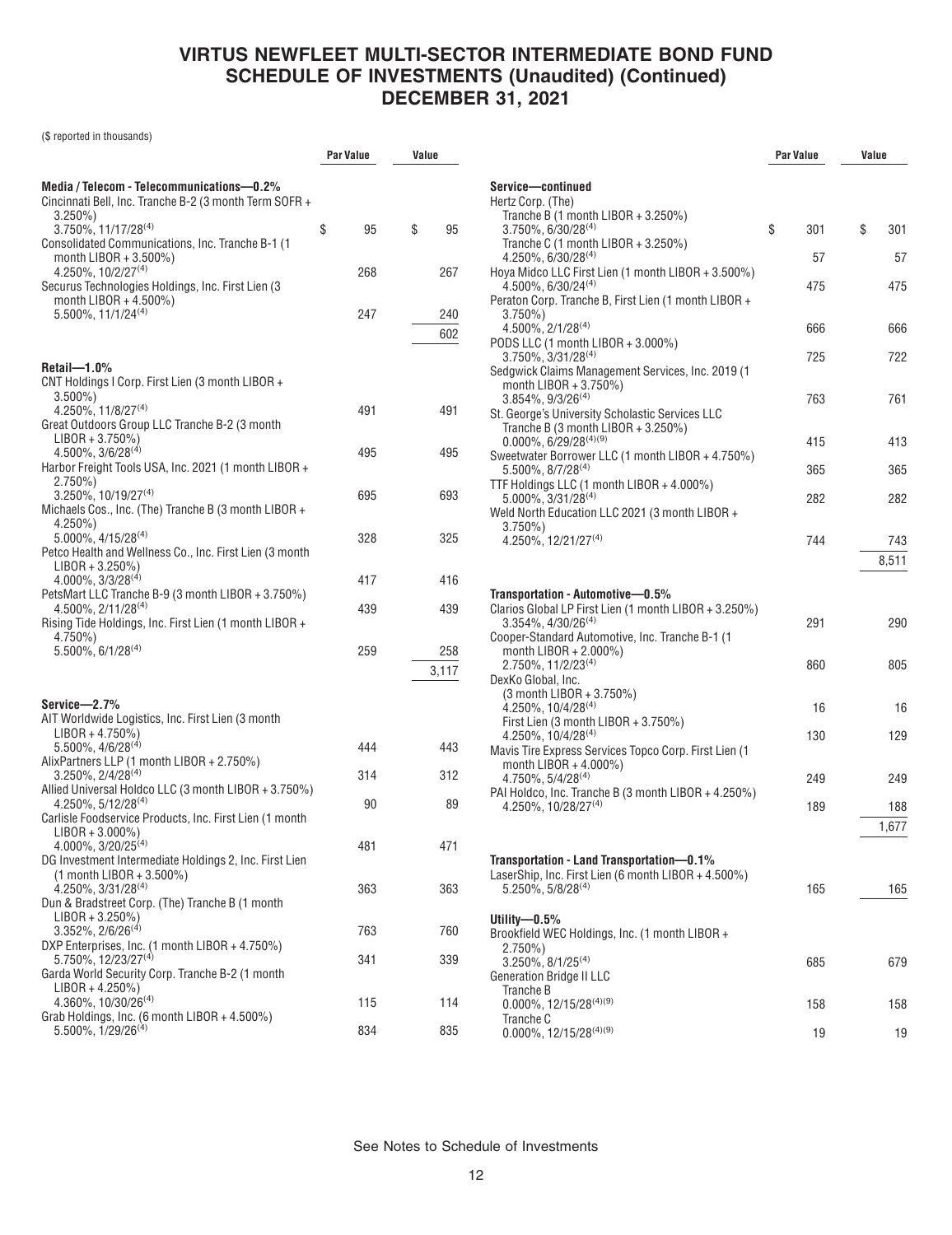(\$ reported in thousands)

|                                                                                                                                            | Par Value |     | Value |              |
|--------------------------------------------------------------------------------------------------------------------------------------------|-----------|-----|-------|--------------|
| Media / Telecom - Telecommunications-0.2%<br>Cincinnati Bell, Inc. Tranche B-2 (3 month Term SOFR +<br>$3.250\%$                           |           |     |       |              |
| 3.750%, 11/17/28 <sup>(4)</sup><br>Consolidated Communications, Inc. Tranche B-1 (1)<br>month LIBOR + 3.500%)                              | \$        | 95  | \$    | 95           |
| $4.250\%$ , $10/2/27^{(4)}$<br>Securus Technologies Holdings, Inc. First Lien (3)                                                          |           | 268 |       | 267          |
| month LIBOR + $4.500\%$ )<br>$5.500\%$ , $11/1/24^{(4)}$                                                                                   |           | 247 |       | 240<br>602   |
| $Reta$ il—1.0%<br>CNT Holdings I Corp. First Lien (3 month LIBOR +                                                                         |           |     |       |              |
| $3.500\%$<br>4.250%, 11/8/27(4)<br>Great Outdoors Group LLC Tranche B-2 (3 month                                                           |           | 491 |       | 491          |
| $LIBOR + 3.750\%)$<br>$4.500\%$ , $3/6/28^{(4)}$<br>Harbor Freight Tools USA, Inc. 2021 (1 month LIBOR +                                   |           | 495 |       | 495          |
| $2.750\%$<br>3.250%, 10/19/27 <sup>(4)</sup><br>Michaels Cos., Inc. (The) Tranche B (3 month LIBOR +                                       |           | 695 |       | 693          |
| $4.250\%$<br>5.000%, 4/15/28 <sup>(4)</sup><br>Petco Health and Wellness Co., Inc. First Lien (3 month                                     |           | 328 |       | 325          |
| $LIBOR + 3.250\%)$<br>$4.000\%$ , $3/3/28^{(4)}$                                                                                           |           | 417 |       | 416          |
| PetsMart LLC Tranche B-9 (3 month LIBOR + 3.750%)<br>$4.500\%$ , $2/11/28^{(4)}$<br>Rising Tide Holdings, Inc. First Lien (1 month LIBOR + |           | 439 |       | 439          |
| 4.750%)<br>$5.500\%$ , $6/1/28^{(4)}$                                                                                                      |           | 259 |       | 258<br>3,117 |
| Service—2.7%                                                                                                                               |           |     |       |              |
| AIT Worldwide Logistics, Inc. First Lien (3 month<br>$LIBOR + 4.750\%)$                                                                    |           |     |       |              |
| $5.500\%$ , $4/6/28^{(4)}$<br>AlixPartners LLP (1 month LIBOR + 2.750%)                                                                    |           | 444 |       | 443          |
| $3.250\%$ , $2/4/28^{(4)}$<br>Allied Universal Holdco LLC (3 month LIBOR + 3.750%)                                                         |           | 314 |       | 312          |
| $4.250\%$ , $5/12/28^{(4)}$<br>Carlisle Foodservice Products, Inc. First Lien (1 month<br>$LIBOR + 3.000\%)$                               |           | 90  |       | 89           |
| 4.000%, 3/20/25 <sup>(4)</sup><br>DG Investment Intermediate Holdings 2, Inc. First Lien<br>$(1$ month LIBOR + 3.500%)                     |           | 481 |       | 471          |
| 4.250%, 3/31/28(4)<br>Dun & Bradstreet Corp. (The) Tranche B (1 month<br>$LIBOR + 3.250\%)$                                                |           | 363 |       | 363          |
| $3.352\%$ , 2/6/26 <sup>(4)</sup><br>DXP Enterprises, Inc. (1 month LIBOR + 4.750%)                                                        |           | 763 |       | 760          |
| 5.750%, 12/23/27 <sup>(4)</sup><br>Garda World Security Corp. Tranche B-2 (1 month<br>$LIBOR + 4.250\%)$                                   |           | 341 |       | 339          |
| 4.360%, 10/30/26(4)<br>Grab Holdings, Inc. (6 month LIBOR + 4.500%)                                                                        |           | 115 |       | 114          |
| $5.500\%$ , $1/29/26^{(4)}$                                                                                                                |           | 834 |       | 835          |

|                                                                                                  | <b>Par Value</b> |     | Value |       |
|--------------------------------------------------------------------------------------------------|------------------|-----|-------|-------|
| Service-continued                                                                                |                  |     |       |       |
| Hertz Corp. (The)<br>Tranche B $(1$ month LIBOR + 3.250%)                                        |                  |     |       |       |
| 3.750%, 6/30/28 <sup>(4)</sup>                                                                   | \$               | 301 | \$    | 301   |
| Tranche C (1 month LIBOR + $3.250\%$ )<br>$4.250\%$ , 6/30/28 <sup>(4)</sup>                     |                  | 57  |       | 57    |
| Hoya Midco LLC First Lien (1 month LIBOR + 3.500%)                                               |                  |     |       |       |
| $4.500\%$ , 6/30/24 <sup>(4)</sup><br>Peraton Corp. Tranche B, First Lien (1 month LIBOR +       |                  | 475 |       | 475   |
| $3.750\%$<br>4.500%, 2/1/28 <sup>(4)</sup>                                                       |                  | 666 |       | 666   |
| PODS LLC (1 month LIBOR + 3.000%)                                                                |                  |     |       |       |
| 3.750%, 3/31/28 <sup>(4)</sup><br>Sedgwick Claims Management Services, Inc. 2019 (1              |                  | 725 |       | 722   |
| month LIBOR + 3.750%)                                                                            |                  |     |       |       |
| $3.854\%$ , $9/3/26^{(4)}$<br>St. George's University Scholastic Services LLC                    |                  | 763 |       | 761   |
| Tranche B (3 month LIBOR + $3.250\%$ )<br>$0.000\%$ , 6/29/28 <sup>(4)(9)</sup>                  |                  | 415 |       | 413   |
| Sweetwater Borrower LLC (1 month LIBOR + 4.750%)                                                 |                  |     |       |       |
| 5.500%, 8/7/28(4)<br>TTF Holdings LLC (1 month LIBOR + 4.000%)                                   |                  | 365 |       | 365   |
| $5.000\%$ , $3/31/28^{(4)}$                                                                      |                  | 282 |       | 282   |
| Weld North Education LLC 2021 (3 month LIBOR +<br>$3.750\%)$                                     |                  |     |       |       |
| 4.250%, 12/21/27 <sup>(4)</sup>                                                                  |                  | 744 |       | 743   |
|                                                                                                  |                  |     |       | 8,511 |
| Transportation - Automotive-0.5%                                                                 |                  |     |       |       |
| Clarios Global LP First Lien (1 month LIBOR + 3.250%)<br>$3.354\%$ , $4/30/26^{(4)}$             |                  | 291 |       | 290   |
| Cooper-Standard Automotive, Inc. Tranche B-1 (1                                                  |                  |     |       |       |
| month LIBOR + 2.000%)<br>2.750%, 11/2/23 <sup>(4)</sup>                                          |                  | 860 |       | 805   |
| DexKo Global, Inc.<br>(3 month LIBOR + 3.750%)                                                   |                  |     |       |       |
| $4.250\%$ , 10/4/28 <sup>(4)</sup>                                                               |                  | 16  |       | 16    |
| First Lien (3 month LIBOR + 3.750%)<br>4.250%, 10/4/28 <sup>(4)</sup>                            |                  | 130 |       | 129   |
| Mavis Tire Express Services Topco Corp. First Lien (1<br>month LIBOR + $4.000\%$ )               |                  |     |       |       |
| 4.750%, 5/4/28 <sup>(4)</sup>                                                                    |                  | 249 |       | 249   |
| PAI Holdco, Inc. Tranche B (3 month LIBOR + 4.250%)<br>4.250%. 10/28/27(4)                       |                  | 189 |       | 188   |
|                                                                                                  |                  |     |       | 1,677 |
|                                                                                                  |                  |     |       |       |
| Transportation - Land Transportation—0.1%<br>LaserShip, Inc. First Lien (6 month LIBOR + 4.500%) |                  |     |       |       |
| $5.250\%$ . 5/8/28 <sup>(4)</sup>                                                                |                  | 165 |       | 165   |
| Utility- $-0.5\%$                                                                                |                  |     |       |       |
| Brookfield WEC Holdings, Inc. (1 month LIBOR +<br>$2.750\%)$                                     |                  |     |       |       |
| $3.250\%$ , $8/1/25^{(4)}$                                                                       |                  | 685 |       | 679   |
| <b>Generation Bridge II LLC</b><br>Tranche B                                                     |                  |     |       |       |
| $0.000\%$ , 12/15/28 <sup>(4)(9)</sup><br>Tranche C                                              |                  | 158 |       | 158   |
| $0.000\%$ , 12/15/28 <sup>(4)(9)</sup>                                                           |                  | 19  |       | 19    |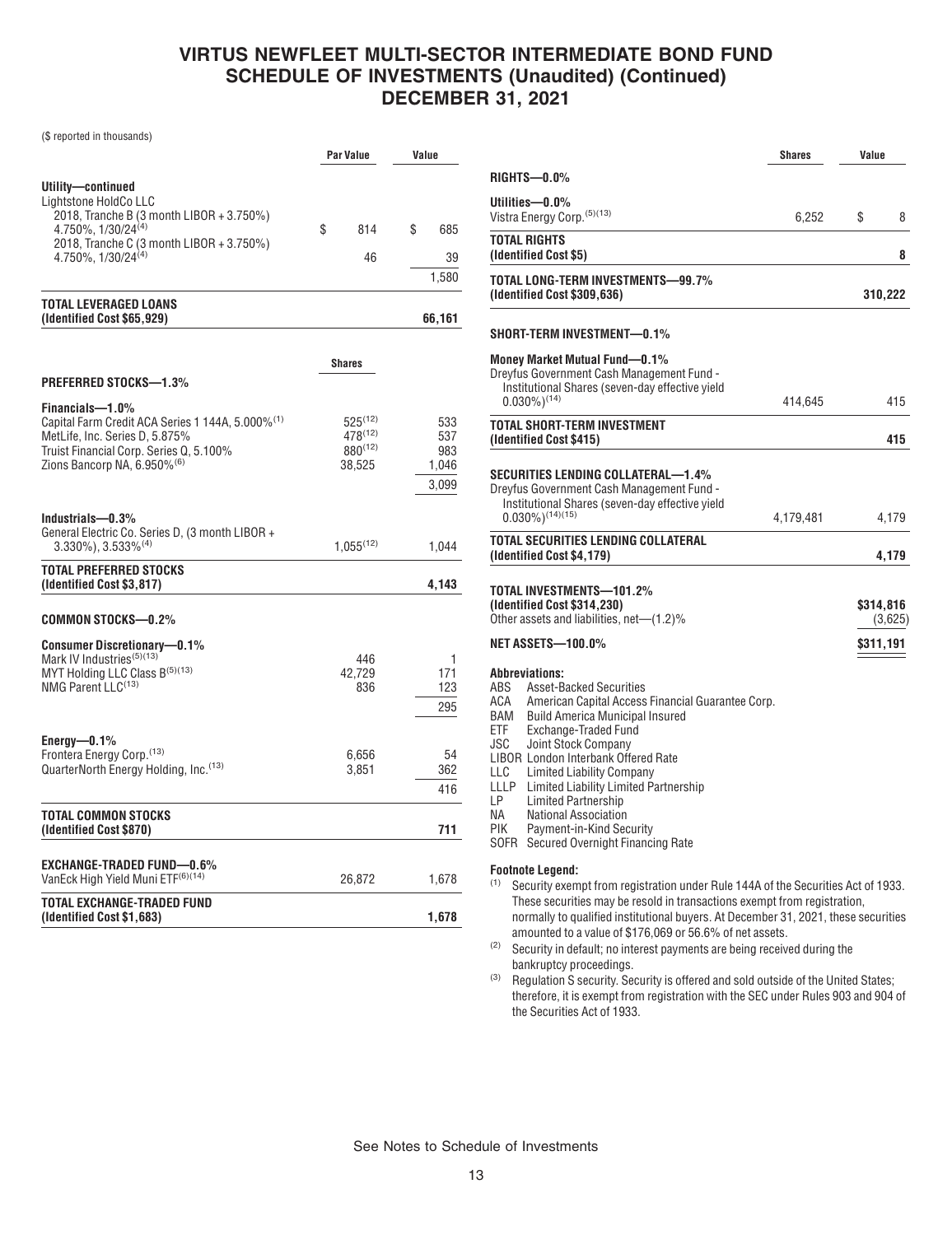(\$ reported in thousands)

|                                                                                                                                                                                                         | <b>Par Value</b>                                       | Value                               |
|---------------------------------------------------------------------------------------------------------------------------------------------------------------------------------------------------------|--------------------------------------------------------|-------------------------------------|
| Utility—continued<br>Lightstone HoldCo LLC                                                                                                                                                              |                                                        |                                     |
| 2018, Tranche B (3 month LIBOR + 3.750%)<br>4.750%, 1/30/24 <sup>(4)</sup><br>2018, Tranche C (3 month LIBOR + 3.750%)                                                                                  | \$<br>814                                              | \$<br>685                           |
| $4.750\%$ , $1/30/24^{(4)}$                                                                                                                                                                             | 46                                                     | 39                                  |
|                                                                                                                                                                                                         |                                                        | 1.580                               |
| <b>TOTAL LEVERAGED LOANS</b><br>(Identified Cost \$65,929)                                                                                                                                              |                                                        | 66,161                              |
|                                                                                                                                                                                                         | <b>Shares</b>                                          |                                     |
| <b>PREFERRED STOCKS-1.3%</b>                                                                                                                                                                            |                                                        |                                     |
| Financials-1.0%<br>Capital Farm Credit ACA Series 1 144A, 5.000% <sup>(1)</sup><br>MetLife, Inc. Series D, 5.875%<br>Truist Financial Corp. Series Q, 5.100%<br>Zions Bancorp NA, 6.950% <sup>(6)</sup> | $525^{(12)}$<br>$478^{(12)}$<br>$880^{(12)}$<br>38.525 | 533<br>537<br>983<br>1,046<br>3,099 |
| Industrials—0.3%<br>General Electric Co. Series D, (3 month LIBOR +<br>$3.330\%$ , $3.533\%$ <sup>(4)</sup>                                                                                             | $1.055^{(12)}$                                         | 1,044                               |
| <b>TOTAL PREFERRED STOCKS</b><br>(Identified Cost \$3,817)                                                                                                                                              |                                                        | 4,143                               |
| COMMON STOCKS—0.2%                                                                                                                                                                                      |                                                        |                                     |
| <b>Consumer Discretionary-0.1%</b><br>Mark IV Industries <sup>(5)(13)</sup><br>MYT Holding LLC Class B(5)(13)<br>NMG Parent LLC <sup>(13)</sup>                                                         | 446<br>42,729<br>836                                   | 1<br>171<br>123                     |
|                                                                                                                                                                                                         |                                                        | 295                                 |
| Energy—0.1%<br>Frontera Energy Corp. <sup>(13)</sup><br>QuarterNorth Energy Holding, Inc.(13)                                                                                                           | 6.656<br>3,851                                         | 54<br>362<br>416                    |
| TOTAL COMMON STOCKS<br>(Identified Cost \$870)                                                                                                                                                          |                                                        | 711                                 |
| EXCHANGE-TRADED FUND—0.6%<br>VanEck High Yield Muni ETF <sup>(6)(14)</sup>                                                                                                                              | 26,872                                                 | 1,678                               |
| TOTAL EXCHANGE-TRADED FUND<br>(Identified Cost \$1,683)                                                                                                                                                 |                                                        | 1,678                               |

|                                                                                                                                                                                                                                                                                                                                                                                                                                                                                                          | Shares    | Value                  |         |
|----------------------------------------------------------------------------------------------------------------------------------------------------------------------------------------------------------------------------------------------------------------------------------------------------------------------------------------------------------------------------------------------------------------------------------------------------------------------------------------------------------|-----------|------------------------|---------|
| RIGHTS—0.0%                                                                                                                                                                                                                                                                                                                                                                                                                                                                                              |           |                        |         |
| Utilities—0.0%<br>Vistra Energy Corp. (5)(13)                                                                                                                                                                                                                                                                                                                                                                                                                                                            | 6,252     | \$                     | 8       |
| TOTAL RIGHTS<br>(Identified Cost \$5)                                                                                                                                                                                                                                                                                                                                                                                                                                                                    |           |                        | 8       |
| TOTAL LONG-TERM INVESTMENTS—99.7%<br>(Identified Cost \$309,636)                                                                                                                                                                                                                                                                                                                                                                                                                                         |           |                        | 310,222 |
| SHORT-TERM INVESTMENT—0.1%                                                                                                                                                                                                                                                                                                                                                                                                                                                                               |           |                        |         |
| Money Market Mutual Fund—0.1%<br>Dreyfus Government Cash Management Fund -<br>Institutional Shares (seven-day effective yield<br>$0.030\%$ <sup>(14)</sup>                                                                                                                                                                                                                                                                                                                                               | 414,645   |                        | 415     |
| TOTAL SHORT-TERM INVESTMENT<br>(Identified Cost \$415)                                                                                                                                                                                                                                                                                                                                                                                                                                                   |           |                        | 415     |
| SECURITIES LENDING COLLATERAL—1.4%<br>Dreyfus Government Cash Management Fund -<br>Institutional Shares (seven-day effective yield<br>$0.030\%$ <sup>(14)(15)</sup>                                                                                                                                                                                                                                                                                                                                      | 4,179,481 |                        | 4,179   |
| TOTAL SECURITIES LENDING COLLATERAL<br>(Identified Cost \$4,179)                                                                                                                                                                                                                                                                                                                                                                                                                                         |           |                        | 4,179   |
| TOTAL INVESTMENTS—101.2%<br>(Identified Cost \$314,230)<br>Other assets and liabilities, net—(1.2)%<br>NET ASSETS—100.0%                                                                                                                                                                                                                                                                                                                                                                                 |           | \$314,816<br>\$311,191 | (3,625) |
| Abbreviations:<br>ABS<br>Asset-Backed Securities<br>ACA<br>American Capital Access Financial Guarantee Corp.<br>BAM<br>Build America Municipal Insured<br>ETF<br>Exchange-Traded Fund<br>JSC<br>Joint Stock Company<br><b>LIBOR London Interbank Offered Rate</b><br>LLC<br>Limited Liability Company<br><b>Limited Liability Limited Partnership</b><br>LLLP<br>LP<br>Limited Partnership<br>NA.<br>National Association<br>PIK<br>Payment-in-Kind Security<br>SOFR<br>Secured Overnight Financing Rate |           |                        |         |
| <b>Footnote Legend:</b><br>(1)<br>Security exempt from registration under Rule 144A of the Securities Act of 1933.<br>These securities may be resold in transactions exempt from registration,<br>normally to qualified institutional buyers. At December 31, 2021, these securities<br>amounted to a value of \$176,069 or 56.6% of net assets.<br>(2)<br>Security in default; no interest payments are being received during the<br>bankruptcy proceedings.                                            |           |                        |         |

(3) Regulation S security. Security is offered and sold outside of the United States; therefore, it is exempt from registration with the SEC under Rules 903 and 904 of the Securities Act of 1933.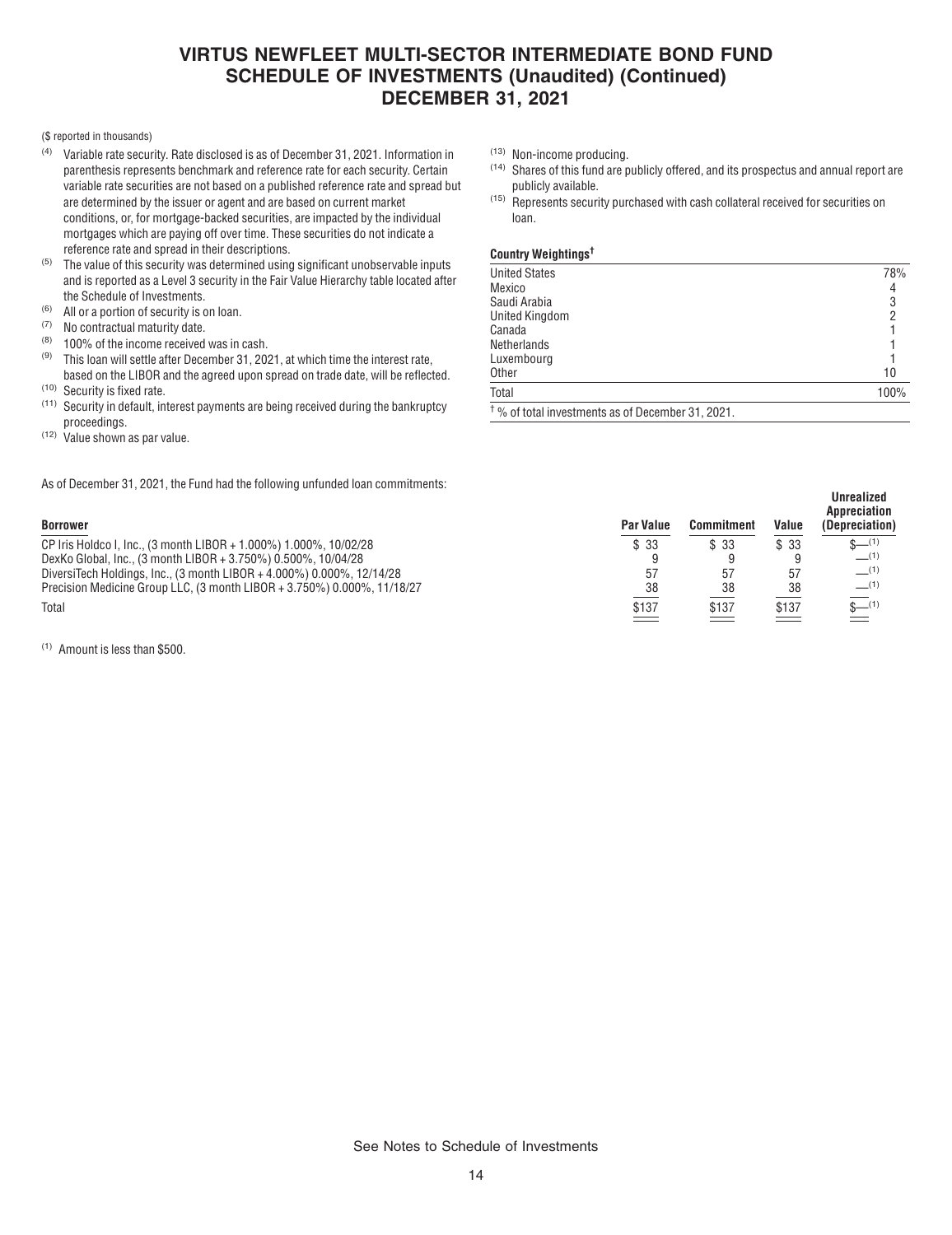#### (\$ reported in thousands)

- (4) Variable rate security. Rate disclosed is as of December 31, 2021. Information in parenthesis represents benchmark and reference rate for each security. Certain variable rate securities are not based on a published reference rate and spread but are determined by the issuer or agent and are based on current market conditions, or, for mortgage-backed securities, are impacted by the individual mortgages which are paying off over time. These securities do not indicate a reference rate and spread in their descriptions.
- $(5)$  The value of this security was determined using significant unobservable inputs and is reported as a Level 3 security in the Fair Value Hierarchy table located after the Schedule of Investments.
- (6) All or a portion of security is on loan.
- (7) No contractual maturity date.<br>(8)  $100\%$  of the income received
- (8) 100% of the income received was in cash.<br>(9) This loan will softle after December 21, 200
- This loan will settle after December 31, 2021, at which time the interest rate, based on the LIBOR and the agreed upon spread on trade date, will be reflected.
- $(10)$  Security is fixed rate.<br> $(11)$  Security in default in
- Security in default, interest payments are being received during the bankruptcy proceedings.
- $(12)$  Value shown as par value.

As of December 31, 2021, the Fund had the following unfunded loan commitments:

(1) Amount is less than \$500.

- (13) Non-income producing.
- (14) Shares of this fund are publicly offered, and its prospectus and annual report are publicly available.
- (15) Represents security purchased with cash collateral received for securities on loan.

#### **Country Weightings†**

| <b>United States</b>                                         | 78%  |
|--------------------------------------------------------------|------|
| Mexico                                                       | 4    |
| Saudi Arabia                                                 | 3    |
| <b>United Kingdom</b>                                        | 2    |
| Canada                                                       |      |
| Netherlands                                                  |      |
| Luxembourg                                                   |      |
| <b>Other</b>                                                 | 10   |
| Total                                                        | 100% |
| <sup>†</sup> % of total investments as of December 31, 2021. |      |

**Borrower Par Value Commitment Value Unrealized Appreciation (Depreciation)** CP Iris Holdco I, Inc., (3 month LIBOR + 1.000%) 1.000%, 10/02/28  $\frac{1}{3}$   $\frac{1}{3}$   $\frac{33}{9}$   $\frac{33}{9}$   $\frac{33}{9}$   $\frac{33}{9}$   $\frac{4}{9}$   $\frac{1}{9}$   $\frac{1}{9}$   $\frac{1}{9}$   $\frac{1}{9}$   $\frac{1}{1}$ DexKo Global, Inc., (3 month LIBOR + 3.750%) 0.500%, 10/04/28 9 9 9 —(1) DiversiTech Holdings, Inc., (3 month LIBOR + 4.000%) 0.000%, 12/14/28 57 57 57 —(1) Precision Medicine Group LLC, (3 month LIBOR + 3.750%) 0.000%, 11/18/27  $\qquad \qquad$  38 38 38 38 Total \$137 \$137 \$137 \$—(1)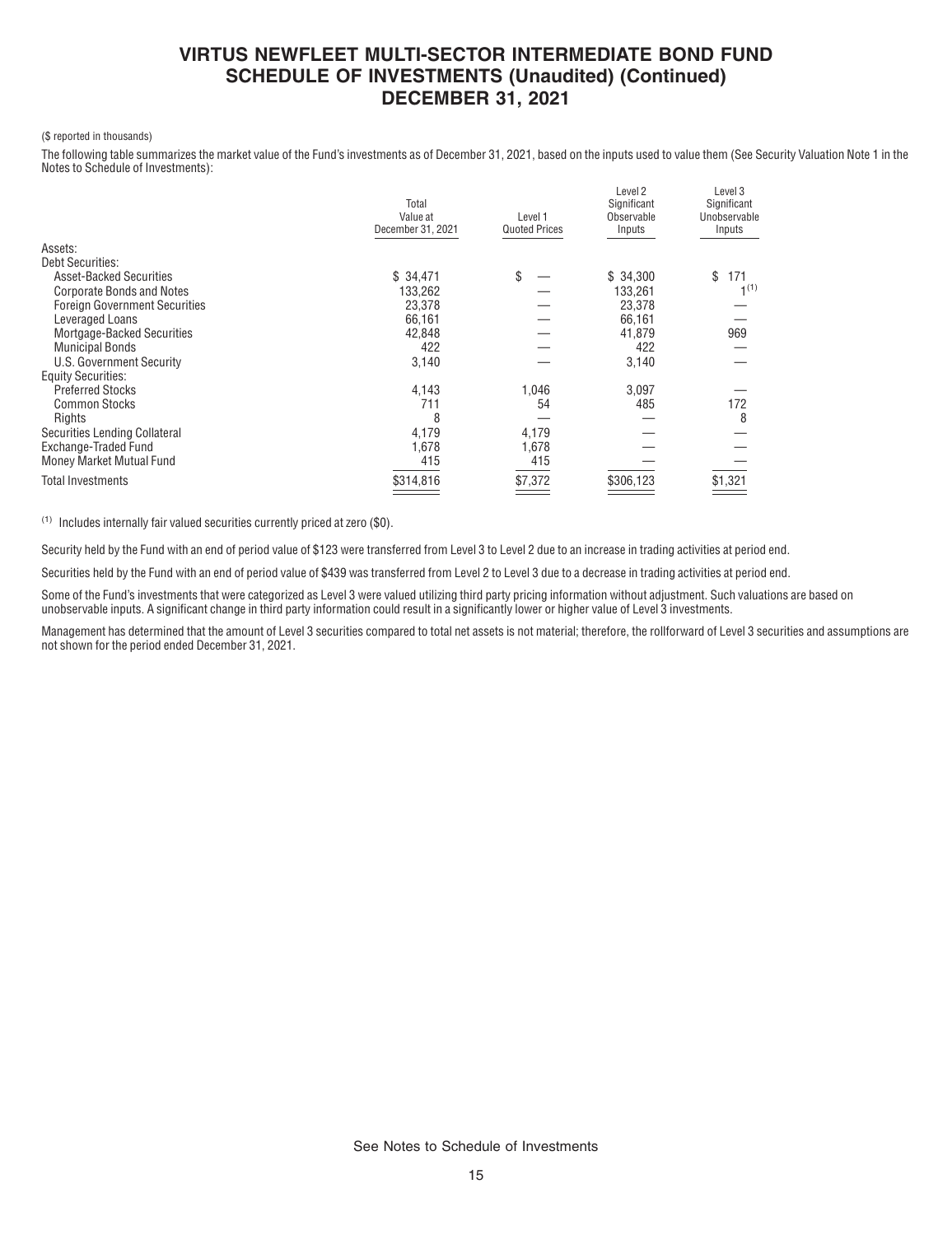#### (\$ reported in thousands)

The following table summarizes the market value of the Fund's investments as of December 31, 2021, based on the inputs used to value them (See Security Valuation Note 1 in the Notes to Schedule of Investments):

|                                      | Total<br>Value at<br>December 31, 2021 | Level 1<br><b>Quoted Prices</b> | Level 2<br>Significant<br>Observable<br>Inputs | Level 3<br>Significant<br>Unobservable<br>Inputs |
|--------------------------------------|----------------------------------------|---------------------------------|------------------------------------------------|--------------------------------------------------|
| Assets:                              |                                        |                                 |                                                |                                                  |
| <b>Debt Securities:</b>              |                                        |                                 |                                                |                                                  |
| <b>Asset-Backed Securities</b>       | \$34,471                               | \$                              | \$34,300                                       | \$<br>171                                        |
| <b>Corporate Bonds and Notes</b>     | 133,262                                |                                 | 133.261                                        | 1 <sup>(1)</sup>                                 |
| <b>Foreign Government Securities</b> | 23,378                                 |                                 | 23,378                                         |                                                  |
| Leveraged Loans                      | 66,161                                 |                                 | 66,161                                         |                                                  |
| Mortgage-Backed Securities           | 42,848                                 |                                 | 41,879                                         | 969                                              |
| <b>Municipal Bonds</b>               | 422                                    |                                 | 422                                            |                                                  |
| U.S. Government Security             | 3,140                                  |                                 | 3,140                                          |                                                  |
| <b>Equity Securities:</b>            |                                        |                                 |                                                |                                                  |
| <b>Preferred Stocks</b>              | 4,143                                  | 1,046                           | 3,097                                          |                                                  |
| <b>Common Stocks</b>                 | 711                                    | 54                              | 485                                            | 172                                              |
| Rights                               | 8                                      |                                 |                                                | 8                                                |
| Securities Lending Collateral        | 4,179                                  | 4,179                           |                                                |                                                  |
| Exchange-Traded Fund                 | 1,678                                  | 1,678                           |                                                |                                                  |
| Money Market Mutual Fund             | 415                                    | 415                             |                                                |                                                  |
| <b>Total Investments</b>             | \$314,816                              | \$7,372                         | \$306,123                                      | \$1,321                                          |
|                                      |                                        |                                 |                                                |                                                  |

(1) Includes internally fair valued securities currently priced at zero (\$0).

Security held by the Fund with an end of period value of \$123 were transferred from Level 3 to Level 2 due to an increase in trading activities at period end.

Securities held by the Fund with an end of period value of \$439 was transferred from Level 2 to Level 3 due to a decrease in trading activities at period end.

Some of the Fund's investments that were categorized as Level 3 were valued utilizing third party pricing information without adjustment. Such valuations are based on unobservable inputs. A significant change in third party information could result in a significantly lower or higher value of Level 3 investments.

Management has determined that the amount of Level 3 securities compared to total net assets is not material; therefore, the rollforward of Level 3 securities and assumptions are not shown for the period ended December 31, 2021.